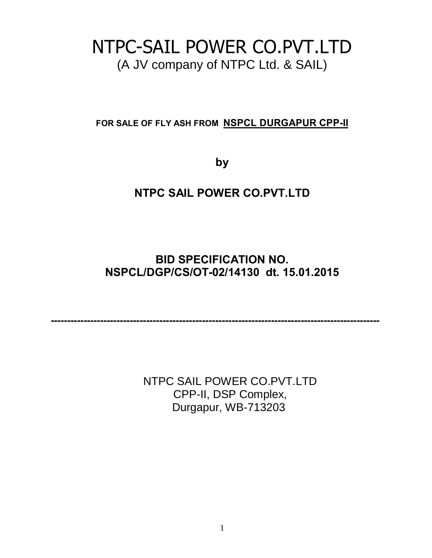# NTPC-SAIL POWER CO.PVT.LTD (A JV company of NTPC Ltd. & SAIL)

**FOR SALE OF FLY ASH FROM NSPCL DURGAPUR CPP-II**

**by**

## **NTPC SAIL POWER CO.PVT.LTD**

## **BID SPECIFICATION NO. NSPCL/DGP/CS/OT-02/14130 dt. 15.01.2015**

**----------------------------------------------------------------------------------------------------**

NTPC SAIL POWER CO.PVT.LTD CPP-II, DSP Complex, Durgapur, WB-713203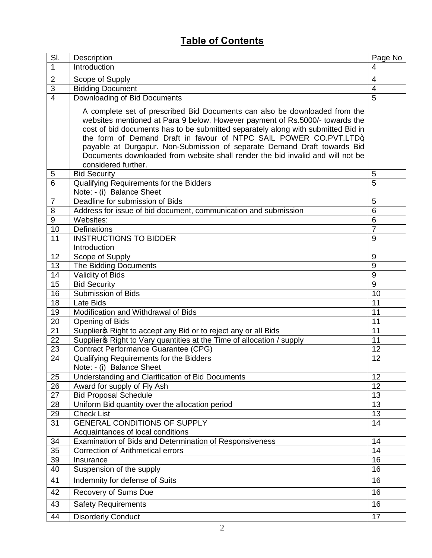## **Table of Contents**

| SI.              | Description                                                                                                                                                                                                                                                                                                                                                                                                                                                                                              | Page No        |
|------------------|----------------------------------------------------------------------------------------------------------------------------------------------------------------------------------------------------------------------------------------------------------------------------------------------------------------------------------------------------------------------------------------------------------------------------------------------------------------------------------------------------------|----------------|
| 1                | Introduction                                                                                                                                                                                                                                                                                                                                                                                                                                                                                             | 4              |
| $\overline{2}$   | Scope of Supply                                                                                                                                                                                                                                                                                                                                                                                                                                                                                          | $\overline{4}$ |
| $\overline{3}$   | <b>Bidding Document</b>                                                                                                                                                                                                                                                                                                                                                                                                                                                                                  | 4              |
| $\overline{4}$   | Downloading of Bid Documents                                                                                                                                                                                                                                                                                                                                                                                                                                                                             | 5              |
|                  | A complete set of prescribed Bid Documents can also be downloaded from the<br>websites mentioned at Para 9 below. However payment of Rs.5000/- towards the<br>cost of bid documents has to be submitted separately along with submitted Bid in<br>the form of Demand Draft in favour of NTPC SAIL POWER CO.PVT.LTD+<br>payable at Durgapur. Non-Submission of separate Demand Draft towards Bid<br>Documents downloaded from website shall render the bid invalid and will not be<br>considered further. |                |
| 5                | <b>Bid Security</b>                                                                                                                                                                                                                                                                                                                                                                                                                                                                                      | 5              |
| 6                | Qualifying Requirements for the Bidders<br>Note: - (i) Balance Sheet                                                                                                                                                                                                                                                                                                                                                                                                                                     | 5              |
| $\overline{7}$   | Deadline for submission of Bids                                                                                                                                                                                                                                                                                                                                                                                                                                                                          | 5              |
| 8                | Address for issue of bid document, communication and submission                                                                                                                                                                                                                                                                                                                                                                                                                                          | 6              |
| $\boldsymbol{9}$ | Websites:                                                                                                                                                                                                                                                                                                                                                                                                                                                                                                | 6              |
| 10               | <b>Definations</b>                                                                                                                                                                                                                                                                                                                                                                                                                                                                                       | $\overline{7}$ |
| 11               | <b>INSTRUCTIONS TO BIDDER</b><br>Introduction                                                                                                                                                                                                                                                                                                                                                                                                                                                            | 9              |
| 12               | Scope of Supply                                                                                                                                                                                                                                                                                                                                                                                                                                                                                          | 9              |
| 13               | The Bidding Documents                                                                                                                                                                                                                                                                                                                                                                                                                                                                                    | 9              |
| 14               | Validity of Bids                                                                                                                                                                                                                                                                                                                                                                                                                                                                                         | 9              |
| 15               | <b>Bid Security</b>                                                                                                                                                                                                                                                                                                                                                                                                                                                                                      | 9              |
| 16               | <b>Submission of Bids</b>                                                                                                                                                                                                                                                                                                                                                                                                                                                                                | 10             |
| $\overline{18}$  | Late Bids                                                                                                                                                                                                                                                                                                                                                                                                                                                                                                | 11             |
| 19               | Modification and Withdrawal of Bids                                                                                                                                                                                                                                                                                                                                                                                                                                                                      | 11             |
| 20               | Opening of Bids                                                                                                                                                                                                                                                                                                                                                                                                                                                                                          | 11             |
| $\overline{21}$  | Supplier & Right to accept any Bid or to reject any or all Bids                                                                                                                                                                                                                                                                                                                                                                                                                                          | 11             |
| $\overline{22}$  | Supplier & Right to Vary quantities at the Time of allocation / supply                                                                                                                                                                                                                                                                                                                                                                                                                                   | 11             |
| 23               | <b>Contract Performance Guarantee (CPG)</b>                                                                                                                                                                                                                                                                                                                                                                                                                                                              | 12             |
| 24               | Qualifying Requirements for the Bidders                                                                                                                                                                                                                                                                                                                                                                                                                                                                  | 12             |
|                  | Note: - (i) Balance Sheet                                                                                                                                                                                                                                                                                                                                                                                                                                                                                |                |
| 25               | Understanding and Clarification of Bid Documents                                                                                                                                                                                                                                                                                                                                                                                                                                                         | 12             |
| 26               | Award for supply of Fly Ash                                                                                                                                                                                                                                                                                                                                                                                                                                                                              | 12             |
| 27               | <b>Bid Proposal Schedule</b>                                                                                                                                                                                                                                                                                                                                                                                                                                                                             | 13             |
| 28               | Uniform Bid quantity over the allocation period                                                                                                                                                                                                                                                                                                                                                                                                                                                          | 13             |
| 29               | <b>Check List</b>                                                                                                                                                                                                                                                                                                                                                                                                                                                                                        | 13             |
| 31               | <b>GENERAL CONDITIONS OF SUPPLY</b>                                                                                                                                                                                                                                                                                                                                                                                                                                                                      | 14             |
|                  | Acquaintances of local conditions                                                                                                                                                                                                                                                                                                                                                                                                                                                                        |                |
| 34               | Examination of Bids and Determination of Responsiveness                                                                                                                                                                                                                                                                                                                                                                                                                                                  | 14             |
| $\overline{35}$  | <b>Correction of Arithmetical errors</b>                                                                                                                                                                                                                                                                                                                                                                                                                                                                 | 14             |
| 39               | Insurance                                                                                                                                                                                                                                                                                                                                                                                                                                                                                                | 16             |
| 40               | Suspension of the supply                                                                                                                                                                                                                                                                                                                                                                                                                                                                                 | 16             |
| 41               | Indemnity for defense of Suits                                                                                                                                                                                                                                                                                                                                                                                                                                                                           | 16             |
| 42               | Recovery of Sums Due                                                                                                                                                                                                                                                                                                                                                                                                                                                                                     | 16             |
| 43               | <b>Safety Requirements</b>                                                                                                                                                                                                                                                                                                                                                                                                                                                                               | 16             |
| 44               | <b>Disorderly Conduct</b>                                                                                                                                                                                                                                                                                                                                                                                                                                                                                | 17             |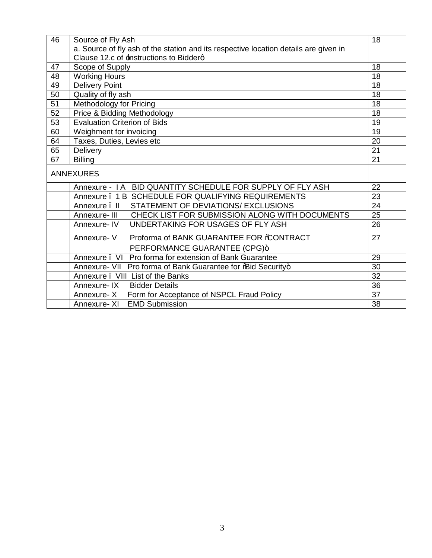| 46 | Source of Fly Ash                                                                    | 18              |  |
|----|--------------------------------------------------------------------------------------|-----------------|--|
|    | a. Source of fly ash of the station and its respective location details are given in |                 |  |
|    | Clause 12.c of <b>±nstructions to Bidderg</b>                                        |                 |  |
| 47 | Scope of Supply                                                                      | 18              |  |
| 48 | <b>Working Hours</b>                                                                 | 18              |  |
| 49 | <b>Delivery Point</b>                                                                | $\overline{18}$ |  |
| 50 | Quality of fly ash                                                                   | 18              |  |
| 51 | Methodology for Pricing                                                              | 18              |  |
| 52 | Price & Bidding Methodology                                                          | 18              |  |
| 53 | <b>Evaluation Criterion of Bids</b>                                                  | 19              |  |
| 60 | Weighment for invoicing                                                              | 19              |  |
| 64 | Taxes, Duties, Levies etc                                                            | 20              |  |
| 65 | Delivery                                                                             | 21              |  |
| 67 | <b>Billing</b>                                                                       | 21              |  |
|    | <b>ANNEXURES</b>                                                                     |                 |  |
|    | Annexure - I A BID QUANTITY SCHEDULE FOR SUPPLY OF FLY ASH                           | 22              |  |
|    | Annexure . 1 B SCHEDULE FOR QUALIFYING REQUIREMENTS                                  | 23              |  |
|    | STATEMENT OF DEVIATIONS/ EXCLUSIONS<br>Annexure, II                                  | 24              |  |
|    | Annexure- III CHECK LIST FOR SUBMISSION ALONG WITH DOCUMENTS                         | 25              |  |
|    | UNDERTAKING FOR USAGES OF FLY ASH<br>Annexure-IV                                     | 26              |  |
|    | Proforma of BANK GUARANTEE FOR %CONTRACT<br>Annexure-V                               | 27              |  |
|    | PERFORMANCE GUARANTEE (CPG)+                                                         |                 |  |
|    | Annexure . VI Pro forma for extension of Bank Guarantee                              | 29              |  |
|    | Annexure- VII Pro forma of Bank Guarantee for % and Security+                        | 30              |  |
|    | Annexure . VIII List of the Banks                                                    | $\overline{32}$ |  |
|    | <b>Bidder Details</b><br>Annexure-IX                                                 | 36              |  |
|    | Form for Acceptance of NSPCL Fraud Policy<br>Annexure- X                             | 37              |  |
|    | <b>EMD Submission</b><br>Annexure-XI                                                 | 38              |  |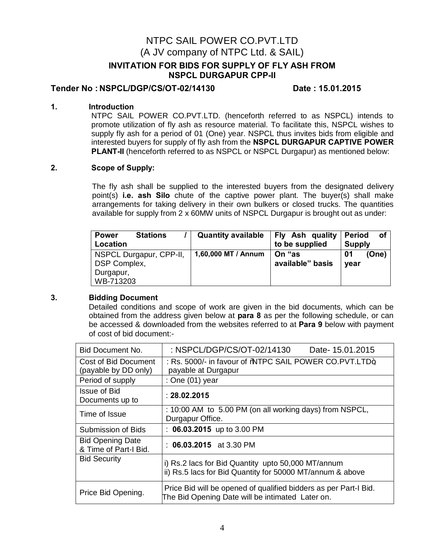### NTPC SAIL POWER CO.PVT.LTD (A JV company of NTPC Ltd. & SAIL)

#### **INVITATION FOR BIDS FOR SUPPLY OF FLY ASH FROM NSPCL DURGAPUR CPP-II**

#### **Tender No : NSPCL/DGP/CS/OT-02/14130 Date : 15.01.2015**

#### **1. Introduction**

NTPC SAIL POWER CO.PVT.LTD. (henceforth referred to as NSPCL) intends to promote utilization of fly ash as resource material. To facilitate this, NSPCL wishes to supply fly ash for a period of 01 (One) year. NSPCL thus invites bids from eligible and interested buyers for supply of fly ash from the **NSPCL DURGAPUR CAPTIVE POWER PLANT-II** (henceforth referred to as NSPCL or NSPCL Durgapur) as mentioned below:

#### **2. Scope of Supply:**

The fly ash shall be supplied to the interested buyers from the designated delivery point(s) **i.e. ash Silo** chute of the captive power plant. The buyer(s) shall make arrangements for taking delivery in their own bulkers or closed trucks. The quantities available for supply from 2 x 60MW units of NSPCL Durgapur is brought out as under:

| <b>Power</b><br><b>Stations</b><br>Location | <b>Quantity available</b> | Fly Ash quality<br>to be supplied | <b>Period</b><br>οf<br><b>Supply</b> |
|---------------------------------------------|---------------------------|-----------------------------------|--------------------------------------|
| NSPCL Durgapur, CPP-II,<br>DSP Complex,     | 1,60,000 MT / Annum       | On <b>"as</b><br>available" basis | (One)<br>01<br>year                  |
| Durgapur,<br>WB-713203                      |                           |                                   |                                      |

#### **3. Bidding Document**

 Detailed conditions and scope of work are given in the bid documents, which can be obtained from the address given below at **para 8** as per the following schedule, or can be accessed & downloaded from the websites referred to at **Para 9** below with payment of cost of bid document:-

| Bid Document No.                                 | : NSPCL/DGP/CS/OT-02/14130<br>Date-15.01.2015                                                                        |  |  |
|--------------------------------------------------|----------------------------------------------------------------------------------------------------------------------|--|--|
| Cost of Bid Document<br>(payable by DD only)     | : Rs. 5000/- in favour of %NTPC SAIL POWER CO.PVT.LTD+<br>payable at Durgapur                                        |  |  |
| Period of supply                                 | : One $(01)$ year                                                                                                    |  |  |
| <b>Issue of Bid</b><br>Documents up to           | : 28.02.2015                                                                                                         |  |  |
| Time of Issue                                    | : 10:00 AM to 5.00 PM (on all working days) from NSPCL,<br>Durgapur Office.                                          |  |  |
| Submission of Bids                               | : $06.03.2015$ up to 3.00 PM                                                                                         |  |  |
| <b>Bid Opening Date</b><br>& Time of Part-I Bid. | : $06.03.2015$ at 3.30 PM                                                                                            |  |  |
| <b>Bid Security</b>                              | i) Rs.2 lacs for Bid Quantity upto 50,000 MT/annum<br>ii) Rs.5 lacs for Bid Quantity for 50000 MT/annum & above      |  |  |
| Price Bid Opening.                               | Price Bid will be opened of qualified bidders as per Part-I Bid.<br>The Bid Opening Date will be intimated Later on. |  |  |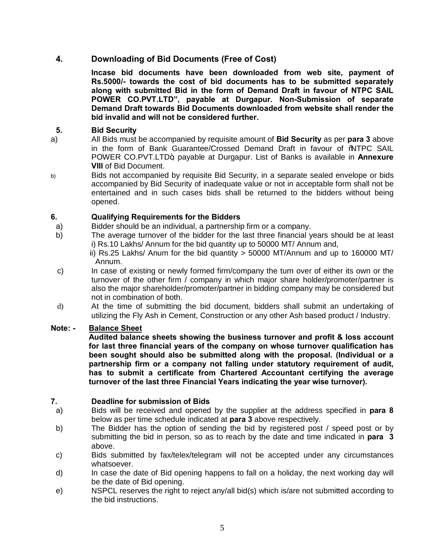#### **4. Downloading of Bid Documents (Free of Cost)**

**Incase bid documents have been downloaded from web site, payment of Rs.5000/- towards the cost of bid documents has to be submitted separately along with submitted Bid in the form of Demand Draft in favour of NTPC SAIL POWER CO.PVT.LTD", payable at Durgapur. Non-Submission of separate Demand Draft towards Bid Documents downloaded from website shall render the bid invalid and will not be considered further.**

#### **5. Bid Security**

- a) All Bids must be accompanied by requisite amount of **Bid Security** as per **para 3** above in the form of Bank Guarantee/Crossed Demand Draft in favour of "NTPC SAIL POWER CO.PVT.LTD+ payable at Durgapur. List of Banks is available in **Annexure VIII** of Bid Document.
- b) Bids not accompanied by requisite Bid Security, in a separate sealed envelope or bids accompanied by Bid Security of inadequate value or not in acceptable form shall not be entertained and in such cases bids shall be returned to the bidders without being opened.

#### **6. Qualifying Requirements for the Bidders**

- a) Bidder should be an individual, a partnership firm or a company.
- b) The average turnover of the bidder for the last three financial years should be at least i) Rs.10 Lakhs/ Annum for the bid quantity up to 50000 MT/ Annum and,

 ii) Rs.25 Lakhs/ Anum for the bid quantity > 50000 MT/Annum and up to 160000 MT/ Annum.

- c) In case of existing or newly formed firm/company the turn over of either its own or the turnover of the other firm / company in which major share holder/promoter/partner is also the major shareholder/promoter/partner in bidding company may be considered but not in combination of both.
- d) At the time of submitting the bid document, bidders shall submit an undertaking of utilizing the Fly Ash in Cement, Construction or any other Ash based product / Industry.

#### **Note: - Balance Sheet**

**Audited balance sheets showing the business turnover and profit & loss account for last three financial years of the company on whose turnover qualification has been sought should also be submitted along with the proposal. (Individual or a partnership firm or a company not falling under statutory requirement of audit, has to submit a certificate from Chartered Accountant certifying the average turnover of the last three Financial Years indicating the year wise turnover).**

#### **7. Deadline for submission of Bids**

- a) Bids will be received and opened by the supplier at the address specified in **para 8** below as per time schedule indicated at **para 3** above respectively.
- b) The Bidder has the option of sending the bid by registered post / speed post or by submitting the bid in person, so as to reach by the date and time indicated in **para 3** above.
- c) Bids submitted by fax/telex/telegram will not be accepted under any circumstances whatsoever.
- d) In case the date of Bid opening happens to fall on a holiday, the next working day will be the date of Bid opening.
- e) NSPCL reserves the right to reject any/all bid(s) which is/are not submitted according to the bid instructions.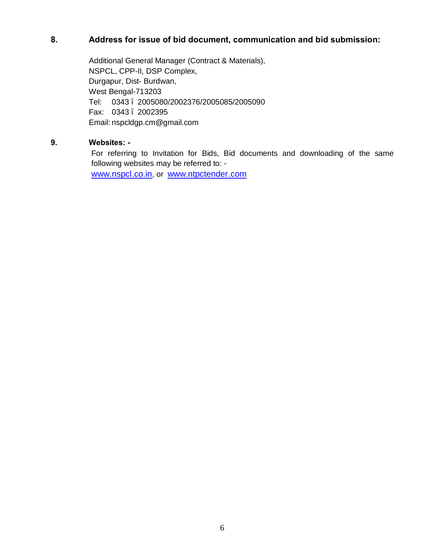### **8. Address for issue of bid document, communication and bid submission:**

Additional General Manager (Contract & Materials), NSPCL, CPP-II, DSP Complex, Durgapur, Dist- Burdwan, West Bengal-713203 Tel: 0343 – 2005080/2002376/2005085/2005090 Fax: 0343. 2002395 Email: nspcldgp.cm@gmail.com

#### **9. Websites: -**

For referring to Invitation for Bids, Bid documents and downloading of the same following websites may be referred to: -

[www.nspcl.co.in,](http://www.nspcl.co.in/) or [www.ntpctender.com](http://www.ntpctender.com/)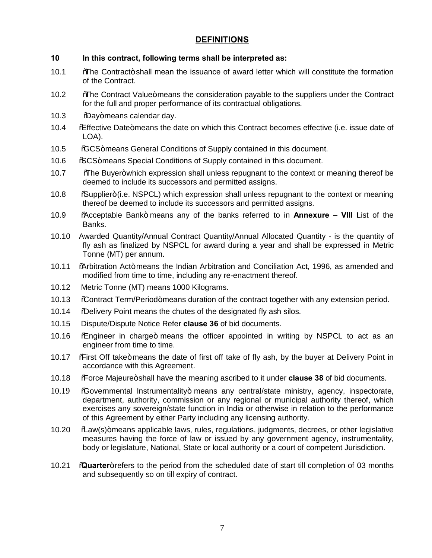### **DEFINITIONS**

#### **10 In this contract, following terms shall be interpreted as:**

- 10.1 . <sup>The</sup> The Contract+ shall mean the issuance of award letter which will constitute the formation of the Contract.
- 10.2 *W*ahe Contract Value+ means the consideration payable to the suppliers under the Contract for the full and proper performance of its contractual obligations.
- 10.3 %Day+means calendar day.
- 10.4 "Effective Date" means the date on which this Contract becomes effective (i.e. issue date of LOA).
- 10.5 %GCS+means General Conditions of Supply contained in this document.
- 10.6 % SCS+ means Special Conditions of Supply contained in this document.
- 10.7 *Whe Buyer+which expression shall unless repugnant to the context or meaning thereof be* deemed to include its successors and permitted assigns.
- 10.8 <br>
Supplier+(i.e. NSPCL) which expression shall unless repugnant to the context or meaning thereof be deemed to include its successors and permitted assigns.
- 10.9 "Acceptable Bank" means any of the banks referred to in **Annexure – VIII** List of the Banks.
- 10.10 Awarded Quantity/Annual Contract Quantity/Annual Allocated Quantity is the quantity of fly ash as finalized by NSPCL for award during a year and shall be expressed in Metric Tonne (MT) per annum.
- 10.11 % "Arbitration Act+ means the Indian Arbitration and Conciliation Act, 1996, as amended and modified from time to time, including any re-enactment thereof.
- 10.12 Metric Tonne (MT) means 1000 Kilograms.
- 10.13 % Contract Term/Period+means duration of the contract together with any extension period.
- 10.14 % Delivery Point means the chutes of the designated fly ash silos.
- 10.15 Dispute/Dispute Notice Refer **clause 36** of bid documents.
- 10.16 "Engineer in charge" means the officer appointed in writing by NSPCL to act as an engineer from time to time.
- 10.17 % First Off take+means the date of first off take of fly ash, by the buyer at Delivery Point in accordance with this Agreement.
- 10.18 "Force Majeure" shall have the meaning ascribed to it under **clause 38** of bid documents.
- 10.19 %Governmental Instrumentality+ means any central/state ministry, agency, inspectorate, department, authority, commission or any regional or municipal authority thereof, which exercises any sovereign/state function in India or otherwise in relation to the performance of this Agreement by either Party including any licensing authority.
- 10.20 % aw(s)+ means applicable laws, rules, regulations, judgments, decrees, or other legislative measures having the force of law or issued by any government agency, instrumentality, body or legislature, National, State or local authority or a court of competent Jurisdiction.
- 10.21 **"Quarter**+ refers to the period from the scheduled date of start till completion of 03 months and subsequently so on till expiry of contract.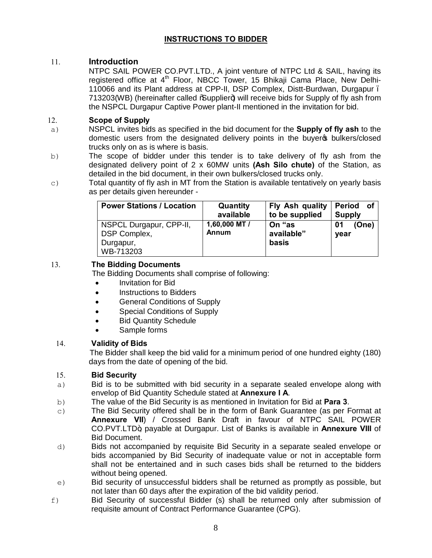### **INSTRUCTIONS TO BIDDER**

#### 11. **Introduction**

 NTPC SAIL POWER CO.PVT.LTD., A joint venture of NTPC Ltd & SAIL, having its registered office at 4<sup>th</sup> Floor, NBCC Tower, 15 Bhikaji Cama Place, New Delhi-110066 and its Plant address at CPP-II, DSP Complex, Distt-Burdwan, Durgapur – 713203(WB) (hereinafter called *S*upplier+) will receive bids for Supply of fly ash from the NSPCL Durgapur Captive Power plant-II mentioned in the invitation for bid.

#### 12. **Scope of Supply**

- a) NSPCL invites bids as specified in the bid document for the **Supply of fly ash** to the domestic users from the designated delivery points in the buyer op bulkers/closed trucks only on as is where is basis.
- b) The scope of bidder under this tender is to take delivery of fly ash from the designated delivery point of 2 x 60MW units **(Ash Silo chute)** of the Station, as detailed in the bid document, in their own bulkers/closed trucks only.
- $\epsilon$ ) Total quantity of fly ash in MT from the Station is available tentatively on yearly basis as per details given hereunder -

| <b>Power Stations / Location</b>                                  | Quantity<br>available  | Fly Ash quality<br>to be supplied    | <b>of</b><br><b>Period</b><br><b>Supply</b> |
|-------------------------------------------------------------------|------------------------|--------------------------------------|---------------------------------------------|
| NSPCL Durgapur, CPP-II,<br>DSP Complex,<br>Durgapur,<br>WB-713203 | 1,60,000 MT /<br>Annum | On <b>"as</b><br>available"<br>basis | 01<br>(One)<br>year                         |

#### 13. **The Bidding Documents**

The Bidding Documents shall comprise of following:

- · Invitation for Bid
- · Instructions to Bidders
- General Conditions of Supply
- · Special Conditions of Supply
- **Bid Quantity Schedule**
- · Sample forms

#### 14. **Validity of Bids**

 The Bidder shall keep the bid valid for a minimum period of one hundred eighty (180) days from the date of opening of the bid.

#### 15. **Bid Security**

- a) Bid is to be submitted with bid security in a separate sealed envelope along with envelop of Bid Quantity Schedule stated at **Annexure I A**.
- b) The value of the Bid Security is as mentioned in Invitation for Bid at **Para 3**.
- c) The Bid Security offered shall be in the form of Bank Guarantee (as per Format at **Annexure VII**) / Crossed Bank Draft in favour of NTPC SAIL POWER CO.PVT.LTD", payable at Durgapur. List of Banks is available in **Annexure VIII** of Bid Document.
- d) Bids not accompanied by requisite Bid Security in a separate sealed envelope or bids accompanied by Bid Security of inadequate value or not in acceptable form shall not be entertained and in such cases bids shall be returned to the bidders without being opened.
- e) Bid security of unsuccessful bidders shall be returned as promptly as possible, but not later than 60 days after the expiration of the bid validity period.
- f) Bid Security of successful Bidder (s) shall be returned only after submission of requisite amount of Contract Performance Guarantee (CPG).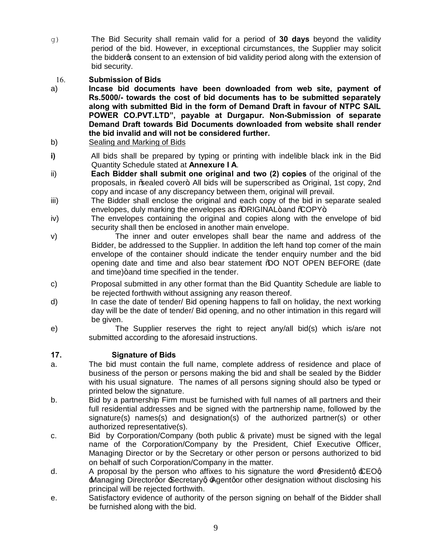- g) The Bid Security shall remain valid for a period of **30 days** beyond the validity period of the bid. However, in exceptional circumstances, the Supplier may solicit the bidder to consent to an extension of bid validity period along with the extension of bid security.
- 16. **Submission of Bids**
- a) **Incase bid documents have been downloaded from web site, payment of Rs.5000/- towards the cost of bid documents has to be submitted separately along with submitted Bid in the form of Demand Draft in favour of NTPC SAIL POWER CO.PVT.LTD", payable at Durgapur. Non-Submission of separate Demand Draft towards Bid Documents downloaded from website shall render the bid invalid and will not be considered further.**
- b) Sealing and Marking of Bids
- **i)** All bids shall be prepared by typing or printing with indelible black ink in the Bid Quantity Schedule stated at **Annexure I A**.
- ii) **Each Bidder shall submit one original and two (2) copies** of the original of the proposals, in % caled cover+. All bids will be superscribed as Original, 1st copy, 2nd copy and incase of any discrepancy between them, original will prevail.
- iii) The Bidder shall enclose the original and each copy of the bid in separate sealed envelopes, duly marking the envelopes as %QRIGINAL+and %COPY+.
- iv) The envelopes containing the original and copies along with the envelope of bid security shall then be enclosed in another main envelope.
- v) The inner and outer envelopes shall bear the name and address of the Bidder, be addressed to the Supplier. In addition the left hand top corner of the main envelope of the container should indicate the tender enquiry number and the bid opening date and time and also bear statement %QO NOT OPEN BEFORE (date and time) + and time specified in the tender.
- c) Proposal submitted in any other format than the Bid Quantity Schedule are liable to be rejected forthwith without assigning any reason thereof.
- d) In case the date of tender/ Bid opening happens to fall on holiday, the next working day will be the date of tender/ Bid opening, and no other intimation in this regard will be given.
- e) The Supplier reserves the right to reject any/all bid(s) which is/are not submitted according to the aforesaid instructions.

#### **17. Signature of Bids**

- a. The bid must contain the full name, complete address of residence and place of business of the person or persons making the bid and shall be sealed by the Bidder with his usual signature. The names of all persons signing should also be typed or printed below the signature.
- b. Bid by a partnership Firm must be furnished with full names of all partners and their full residential addresses and be signed with the partnership name, followed by the signature(s) names(s) and designation(s) of the authorized partner(s) or other authorized representative(s).
- c. Bid by Corporation/Company (both public & private) must be signed with the legal name of the Corporation/Company by the President, Chief Executive Officer, Managing Director or by the Secretary or other person or persons authorized to bid on behalf of such Corporation/Company in the matter.
- d. A proposal by the person who affixes to his signature the word  $\angle P$ residentg  $\angle EOq$ **Managing Directorgor Secretaryg Agentgor other designation without disclosing his** principal will be rejected forthwith.
- e. Satisfactory evidence of authority of the person signing on behalf of the Bidder shall be furnished along with the bid.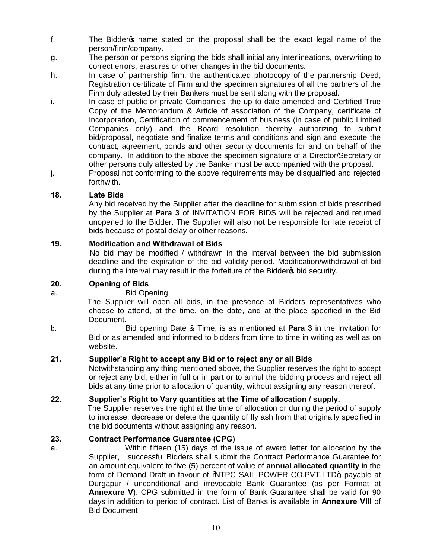- f. The Bidder op name stated on the proposal shall be the exact legal name of the person/firm/company.
- g. The person or persons signing the bids shall initial any interlineations, overwriting to correct errors, erasures or other changes in the bid documents.
- h. In case of partnership firm, the authenticated photocopy of the partnership Deed, Registration certificate of Firm and the specimen signatures of all the partners of the Firm duly attested by their Bankers must be sent along with the proposal.
- i. In case of public or private Companies, the up to date amended and Certified True Copy of the Memorandum & Article of association of the Company, certificate of Incorporation, Certification of commencement of business (in case of public Limited Companies only) and the Board resolution thereby authorizing to submit bid/proposal, negotiate and finalize terms and conditions and sign and execute the contract, agreement, bonds and other security documents for and on behalf of the company. In addition to the above the specimen signature of a Director/Secretary or other persons duly attested by the Banker must be accompanied with the proposal.
- j. Proposal not conforming to the above requirements may be disqualified and rejected forthwith.

#### **18. Late Bids**

 Any bid received by the Supplier after the deadline for submission of bids prescribed by the Supplier at **Para 3** of INVITATION FOR BIDS will be rejected and returned unopened to the Bidder. The Supplier will also not be responsible for late receipt of bids because of postal delay or other reasons.

#### **19. Modification and Withdrawal of Bids**

 No bid may be modified / withdrawn in the interval between the bid submission deadline and the expiration of the bid validity period. Modification/withdrawal of bid during the interval may result in the forfeiture of the Bidder<sup>®</sup> bid security.

#### **20. Opening of Bids**

#### a. Bid Opening

 The Supplier will open all bids, in the presence of Bidders representatives who choose to attend, at the time, on the date, and at the place specified in the Bid Document.

b. Bid opening Date & Time, is as mentioned at **Para 3** in the Invitation for Bid or as amended and informed to bidders from time to time in writing as well as on website.

#### **21. Supplier's Right to accept any Bid or to reject any or all Bids**

 Notwithstanding any thing mentioned above, the Supplier reserves the right to accept or reject any bid, either in full or in part or to annul the bidding process and reject all bids at any time prior to allocation of quantity, without assigning any reason thereof.

#### **22. Supplier's Right to Vary quantities at the Time of allocation / supply.**

The Supplier reserves the right at the time of allocation or during the period of supply to increase, decrease or delete the quantity of fly ash from that originally specified in the bid documents without assigning any reason.

#### **23. Contract Performance Guarantee (CPG)**

a. Within fifteen (15) days of the issue of award letter for allocation by the Supplier, successful Bidders shall submit the Contract Performance Guarantee for an amount equivalent to five (5) percent of value of **annual allocated quantity** in the form of Demand Draft in favour of %NTPC SAIL POWER CO.PVT.LTD+, payable at Durgapur / unconditional and irrevocable Bank Guarantee (as per Format at **Annexure V**). CPG submitted in the form of Bank Guarantee shall be valid for 90 days in addition to period of contract. List of Banks is available in **Annexure VIII** of Bid Document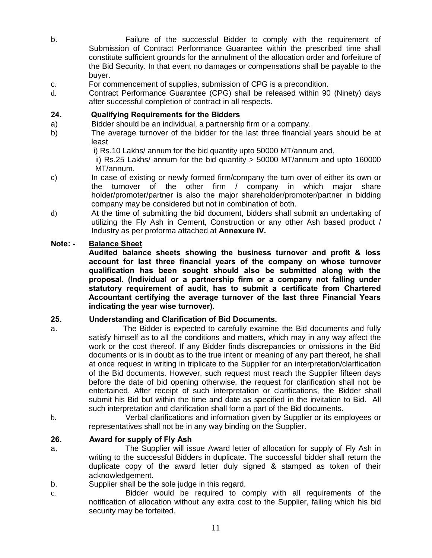- b. Failure of the successful Bidder to comply with the requirement of Submission of Contract Performance Guarantee within the prescribed time shall constitute sufficient grounds for the annulment of the allocation order and forfeiture of the Bid Security. In that event no damages or compensations shall be payable to the buyer.
- c. For commencement of supplies, submission of CPG is a precondition.
- d. Contract Performance Guarantee (CPG) shall be released within 90 (Ninety) days after successful completion of contract in all respects.

#### **24. Qualifying Requirements for the Bidders**

- a) Bidder should be an individual, a partnership firm or a company.
- b) The average turnover of the bidder for the last three financial years should be at least

i) Rs.10 Lakhs/ annum for the bid quantity upto 50000 MT/annum and,

 ii) Rs.25 Lakhs/ annum for the bid quantity > 50000 MT/annum and upto 160000 MT/annum.

- c) In case of existing or newly formed firm/company the turn over of either its own or the turnover of the other firm / company in which major share holder/promoter/partner is also the major shareholder/promoter/partner in bidding company may be considered but not in combination of both.
- d) At the time of submitting the bid document, bidders shall submit an undertaking of utilizing the Fly Ash in Cement, Construction or any other Ash based product / Industry as per proforma attached at **Annexure IV.**

#### **Note: - Balance Sheet**

**Audited balance sheets showing the business turnover and profit & loss account for last three financial years of the company on whose turnover qualification has been sought should also be submitted along with the proposal. (Individual or a partnership firm or a company not falling under statutory requirement of audit, has to submit a certificate from Chartered Accountant certifying the average turnover of the last three Financial Years indicating the year wise turnover).** 

#### **25. Understanding and Clarification of Bid Documents.**

- a. The Bidder is expected to carefully examine the Bid documents and fully satisfy himself as to all the conditions and matters, which may in any way affect the work or the cost thereof. If any Bidder finds discrepancies or omissions in the Bid documents or is in doubt as to the true intent or meaning of any part thereof, he shall at once request in writing in triplicate to the Supplier for an interpretation/clarification of the Bid documents. However, such request must reach the Supplier fifteen days before the date of bid opening otherwise, the request for clarification shall not be entertained. After receipt of such interpretation or clarifications, the Bidder shall submit his Bid but within the time and date as specified in the invitation to Bid. All such interpretation and clarification shall form a part of the Bid documents.
- b. Verbal clarifications and information given by Supplier or its employees or representatives shall not be in any way binding on the Supplier.

#### **26. Award for supply of Fly Ash**

- a. The Supplier will issue Award letter of allocation for supply of Fly Ash in writing to the successful Bidders in duplicate. The successful bidder shall return the duplicate copy of the award letter duly signed & stamped as token of their acknowledgement.
- b. Supplier shall be the sole judge in this regard.
- c. Bidder would be required to comply with all requirements of the notification of allocation without any extra cost to the Supplier, failing which his bid security may be forfeited.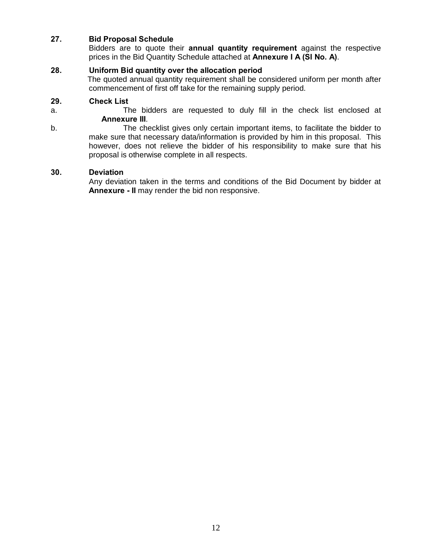#### **27. Bid Proposal Schedule**

Bidders are to quote their **annual quantity requirement** against the respective prices in the Bid Quantity Schedule attached at **Annexure I A (Sl No. A)**.

#### **28. Uniform Bid quantity over the allocation period**

 The quoted annual quantity requirement shall be considered uniform per month after commencement of first off take for the remaining supply period.

#### **29. Check List**

- 
- a. The bidders are requested to duly fill in the check list enclosed at **Annexure III**.
- b. The checklist gives only certain important items, to facilitate the bidder to make sure that necessary data/information is provided by him in this proposal. This however, does not relieve the bidder of his responsibility to make sure that his proposal is otherwise complete in all respects.

#### **30. Deviation**

Any deviation taken in the terms and conditions of the Bid Document by bidder at **Annexure - II** may render the bid non responsive.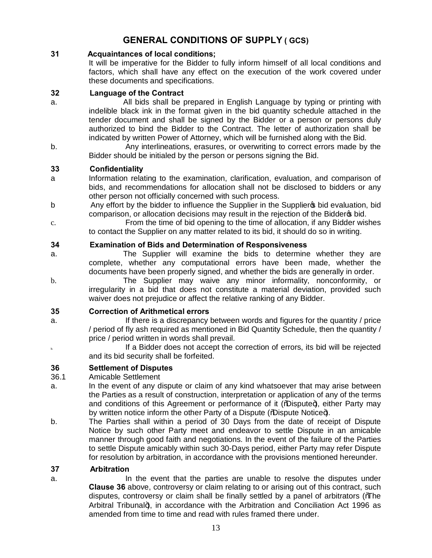### **GENERAL CONDITIONS OF SUPPLY ( GCS)**

#### **31 Acquaintances of local conditions;**

 It will be imperative for the Bidder to fully inform himself of all local conditions and factors, which shall have any effect on the execution of the work covered under these documents and specifications.

#### **32 Language of the Contract**

- a. All bids shall be prepared in English Language by typing or printing with indelible black ink in the format given in the bid quantity schedule attached in the tender document and shall be signed by the Bidder or a person or persons duly authorized to bind the Bidder to the Contract. The letter of authorization shall be indicated by written Power of Attorney, which will be furnished along with the Bid.
- b. Any interlineations, erasures, or overwriting to correct errors made by the Bidder should be initialed by the person or persons signing the Bid.

#### **33 Confidentiality**

- a Information relating to the examination, clarification, evaluation, and comparison of bids, and recommendations for allocation shall not be disclosed to bidders or any other person not officially concerned with such process.
- b Any effort by the bidder to influence the Supplier in the Supplier op bid evaluation, bid comparison, or allocation decisions may result in the rejection of the Bidder to bid.
- c. From the time of bid opening to the time of allocation, if any Bidder wishes to contact the Supplier on any matter related to its bid, it should do so in writing.

#### **34 Examination of Bids and Determination of Responsiveness**

- a. The Supplier will examine the bids to determine whether they are complete, whether any computational errors have been made, whether the documents have been properly signed, and whether the bids are generally in order.
- b. The Supplier may waive any minor informality, nonconformity, or irregularity in a bid that does not constitute a material deviation, provided such waiver does not prejudice or affect the relative ranking of any Bidder.

#### **35 Correction of Arithmetical errors**

- a. If there is a discrepancy between words and figures for the quantity / price / period of fly ash required as mentioned in Bid Quantity Schedule, then the quantity / price / period written in words shall prevail.
- **b.** If a Bidder does not accept the correction of errors, its bid will be rejected and its bid security shall be forfeited.

#### **36 Settlement of Disputes**

#### 36.1 Amicable Settlement

- a. In the event of any dispute or claim of any kind whatsoever that may arise between the Parties as a result of construction, interpretation or application of any of the terms and conditions of this Agreement or performance of it  $\sqrt{\omega}$  ispute +), either Party may by written notice inform the other Party of a Dispute ("Maispute Notice+).
- b. The Parties shall within a period of 30 Days from the date of receipt of Dispute Notice by such other Party meet and endeavor to settle Dispute in an amicable manner through good faith and negotiations. In the event of the failure of the Parties to settle Dispute amicably within such 30-Days period, either Party may refer Dispute for resolution by arbitration, in accordance with the provisions mentioned hereunder.

#### **37 Arbitration**

a. In the event that the parties are unable to resolve the disputes under **Clause 36** above, controversy or claim relating to or arising out of this contract, such disputes, controversy or claim shall be finally settled by a panel of arbitrators (The Arbitral Tribunal+), in accordance with the Arbitration and Conciliation Act 1996 as amended from time to time and read with rules framed there under.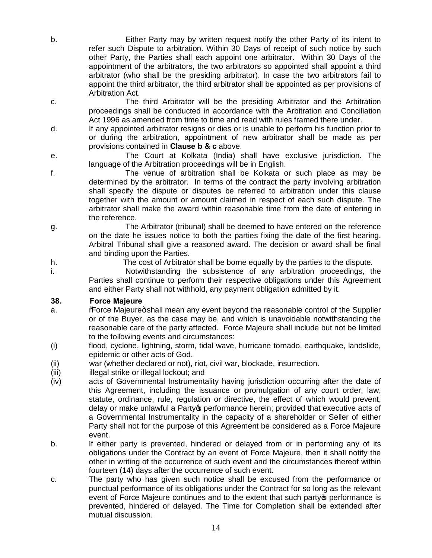- b. Either Party may by written request notify the other Party of its intent to refer such Dispute to arbitration. Within 30 Days of receipt of such notice by such other Party, the Parties shall each appoint one arbitrator. Within 30 Days of the appointment of the arbitrators, the two arbitrators so appointed shall appoint a third arbitrator (who shall be the presiding arbitrator). In case the two arbitrators fail to appoint the third arbitrator, the third arbitrator shall be appointed as per provisions of Arbitration Act.
- c. The third Arbitrator will be the presiding Arbitrator and the Arbitration proceedings shall be conducted in accordance with the Arbitration and Conciliation Act 1996 as amended from time to time and read with rules framed there under.
- d. If any appointed arbitrator resigns or dies or is unable to perform his function prior to or during the arbitration, appointment of new arbitrator shall be made as per provisions contained in **Clause b & c** above.
- e. The Court at Kolkata (India) shall have exclusive jurisdiction. The language of the Arbitration proceedings will be in English.
- f. The venue of arbitration shall be Kolkata or such place as may be determined by the arbitrator. In terms of the contract the party involving arbitration shall specify the dispute or disputes be referred to arbitration under this clause together with the amount or amount claimed in respect of each such dispute. The arbitrator shall make the award within reasonable time from the date of entering in the reference.
- g. The Arbitrator (tribunal) shall be deemed to have entered on the reference on the date he issues notice to both the parties fixing the date of the first hearing. Arbitral Tribunal shall give a reasoned award. The decision or award shall be final and binding upon the Parties.
- h. The cost of Arbitrator shall be borne equally by the parties to the dispute.
- i. Notwithstanding the subsistence of any arbitration proceedings, the Parties shall continue to perform their respective obligations under this Agreement and either Party shall not withhold, any payment obligation admitted by it.

#### **38. Force Majeure**

- a. "Force Majeure+shall mean any event beyond the reasonable control of the Supplier or of the Buyer, as the case may be, and which is unavoidable notwithstanding the reasonable care of the party affected. Force Majeure shall include but not be limited to the following events and circumstances:
- (i) flood, cyclone, lightning, storm, tidal wave, hurricane tornado, earthquake, landslide, epidemic or other acts of God.
- (ii) war (whether declared or not), riot, civil war, blockade, insurrection.
- (iii) illegal strike or illegal lockout; and
- (iv) acts of Governmental Instrumentality having jurisdiction occurring after the date of this Agreement, including the issuance or promulgation of any court order, law, statute, ordinance, rule, regulation or directive, the effect of which would prevent, delay or make unlawful a Party to performance herein; provided that executive acts of a Governmental Instrumentality in the capacity of a shareholder or Seller of either Party shall not for the purpose of this Agreement be considered as a Force Majeure event.
- b. If either party is prevented, hindered or delayed from or in performing any of its obligations under the Contract by an event of Force Majeure, then it shall notify the other in writing of the occurrence of such event and the circumstances thereof within fourteen (14) days after the occurrence of such event.
- c. The party who has given such notice shall be excused from the performance or punctual performance of its obligations under the Contract for so long as the relevant event of Force Majeure continues and to the extent that such party operformance is prevented, hindered or delayed. The Time for Completion shall be extended after mutual discussion.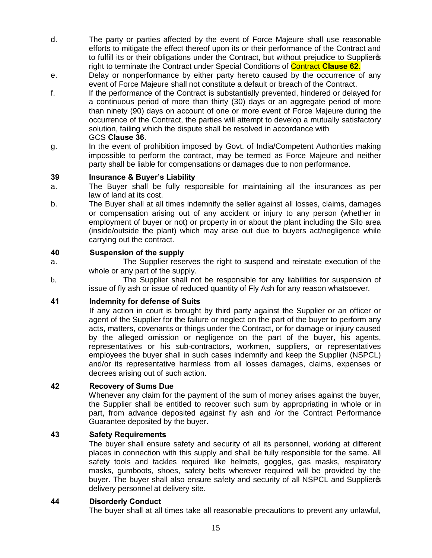- d. The party or parties affected by the event of Force Majeure shall use reasonable efforts to mitigate the effect thereof upon its or their performance of the Contract and to fulfill its or their obligations under the Contract, but without prejudice to Suppliers right to terminate the Contract under Special Conditions of Contract **Clause 62**.
- e. Delay or nonperformance by either party hereto caused by the occurrence of any event of Force Majeure shall not constitute a default or breach of the Contract.
- f. If the performance of the Contract is substantially prevented, hindered or delayed for a continuous period of more than thirty (30) days or an aggregate period of more than ninety (90) days on account of one or more event of Force Majeure during the occurrence of the Contract, the parties will attempt to develop a mutually satisfactory solution, failing which the dispute shall be resolved in accordance with GCS **Clause 36**.
- g. In the event of prohibition imposed by Govt. of India/Competent Authorities making impossible to perform the contract, may be termed as Force Majeure and neither party shall be liable for compensations or damages due to non performance.

#### **39 Insurance & Buyer's Liability**

- a. The Buyer shall be fully responsible for maintaining all the insurances as per law of land at its cost.
- b. The Buyer shall at all times indemnify the seller against all losses, claims, damages or compensation arising out of any accident or injury to any person (whether in employment of buyer or not) or property in or about the plant including the Silo area (inside/outside the plant) which may arise out due to buyers act/negligence while carrying out the contract.

#### **40 Suspension of the supply**

- a. The Supplier reserves the right to suspend and reinstate execution of the whole or any part of the supply.
- b. The Supplier shall not be responsible for any liabilities for suspension of issue of fly ash or issue of reduced quantity of Fly Ash for any reason whatsoever.

#### **41 Indemnity for defense of Suits**

 If any action in court is brought by third party against the Supplier or an officer or agent of the Supplier for the failure or neglect on the part of the buyer to perform any acts, matters, covenants or things under the Contract, or for damage or injury caused by the alleged omission or negligence on the part of the buyer, his agents, representatives or his sub-contractors, workmen, suppliers, or representatives employees the buyer shall in such cases indemnify and keep the Supplier (NSPCL) and/or its representative harmless from all losses damages, claims, expenses or decrees arising out of such action.

#### **42 Recovery of Sums Due**

 Whenever any claim for the payment of the sum of money arises against the buyer, the Supplier shall be entitled to recover such sum by appropriating in whole or in part, from advance deposited against fly ash and /or the Contract Performance Guarantee deposited by the buyer.

#### **43 Safety Requirements**

 The buyer shall ensure safety and security of all its personnel, working at different places in connection with this supply and shall be fully responsible for the same. All safety tools and tackles required like helmets, goggles, gas masks, respiratory masks, gumboots, shoes, safety belts wherever required will be provided by the buyer. The buyer shall also ensure safety and security of all NSPCL and Suppliers delivery personnel at delivery site.

#### **44 Disorderly Conduct**

The buyer shall at all times take all reasonable precautions to prevent any unlawful,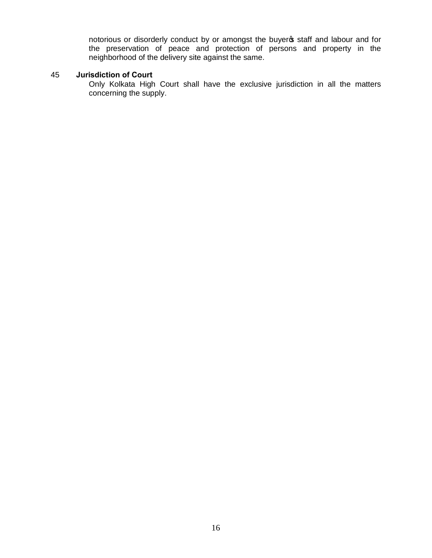notorious or disorderly conduct by or amongst the buyer of staff and labour and for the preservation of peace and protection of persons and property in the neighborhood of the delivery site against the same.

#### 45 **Jurisdiction of Court**

Only Kolkata High Court shall have the exclusive jurisdiction in all the matters concerning the supply.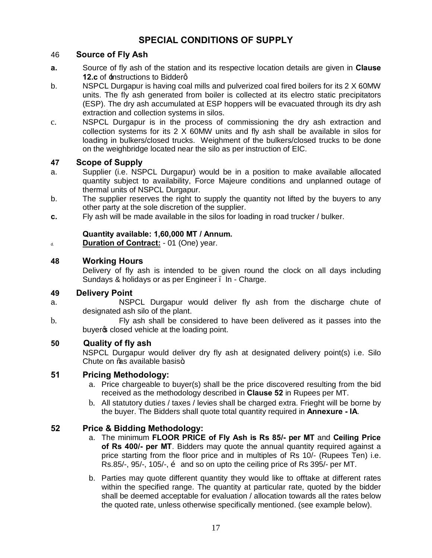### **SPECIAL CONDITIONS OF SUPPLY**

#### 46 **Source of Fly Ash**

- **a.** Source of fly ash of the station and its respective location details are given in **Clause 12.c** of  $\pm$ nstructions to Bidderg
- b. NSPCL Durgapur is having coal mills and pulverized coal fired boilers for its 2 X 60MW units. The fly ash generated from boiler is collected at its electro static precipitators (ESP). The dry ash accumulated at ESP hoppers will be evacuated through its dry ash extraction and collection systems in silos.
- c. NSPCL Durgapur is in the process of commissioning the dry ash extraction and collection systems for its 2 X 60MW units and fly ash shall be available in silos for loading in bulkers/closed trucks. Weighment of the bulkers/closed trucks to be done on the weighbridge located near the silo as per instruction of EIC.

#### **47 Scope of Supply**

- a. Supplier (i.e. NSPCL Durgapur) would be in a position to make available allocated quantity subject to availability, Force Majeure conditions and unplanned outage of thermal units of NSPCL Durgapur.
- b. The supplier reserves the right to supply the quantity not lifted by the buyers to any other party at the sole discretion of the supplier.
- **c.** Fly ash will be made available in the silos for loading in road trucker / bulker.

#### **Quantity available: 1,60,000 MT / Annum.**

d. **Duration of Contract:** - 01 (One) year.

#### **48 Working Hours**

Delivery of fly ash is intended to be given round the clock on all days including Sundays & holidays or as per Engineer . In - Charge.

#### **49 Delivery Point**

- a. NSPCL Durgapur would deliver fly ash from the discharge chute of designated ash silo of the plant.
- b. Fly ash shall be considered to have been delivered as it passes into the buyers closed vehicle at the loading point.

#### **50 Quality of fly ash**

NSPCL Durgapur would deliver dry fly ash at designated delivery point(s) i.e. Silo Chute on % available basis+.

#### **51 Pricing Methodology:**

- a. Price chargeable to buyer(s) shall be the price discovered resulting from the bid received as the methodology described in **Clause 52** in Rupees per MT.
- b. All statutory duties / taxes / levies shall be charged extra. Frieght will be borne by the buyer. The Bidders shall quote total quantity required in **Annexure - IA**.

#### **52 Price & Bidding Methodology:**

- a. The minimum **FLOOR PRICE of Fly Ash is Rs 85/- per MT** and **Ceiling Price of Rs 400/- per MT**. Bidders may quote the annual quantity required against a price starting from the floor price and in multiples of Rs 10/- (Rupees Ten) i.e. Rs.85/-, 95/-, 105/-,  $\ddot{\text{o}}$  and so on upto the ceiling price of Rs 395/- per MT.
- b. Parties may quote different quantity they would like to offtake at different rates within the specified range. The quantity at particular rate, quoted by the bidder shall be deemed acceptable for evaluation / allocation towards all the rates below the quoted rate, unless otherwise specifically mentioned. (see example below).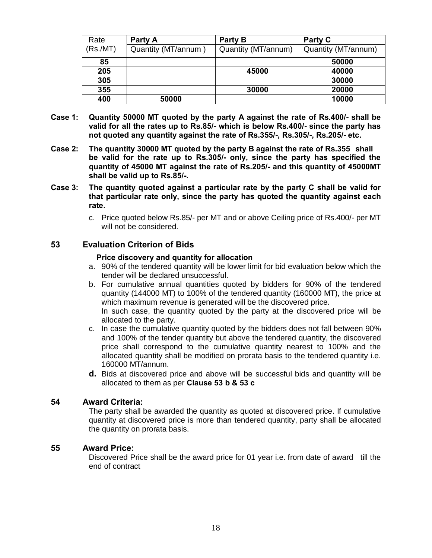| Rate     | Party A             | Party B             | Party C             |
|----------|---------------------|---------------------|---------------------|
| (Rs./MT) | Quantity (MT/annum) | Quantity (MT/annum) | Quantity (MT/annum) |
| 85       |                     |                     | 50000               |
| 205      |                     | 45000               | 40000               |
| 305      |                     |                     | 30000               |
| 355      |                     | 30000               | 20000               |
| 400      | 50000               |                     | 10000               |

- **Case 1: Quantity 50000 MT quoted by the party A against the rate of Rs.400/- shall be valid for all the rates up to Rs.85/- which is below Rs.400/- since the party has not quoted any quantity against the rate of Rs.355/-, Rs.305/-, Rs.205/- etc.**
- **Case 2: The quantity 30000 MT quoted by the party B against the rate of Rs.355 shall be valid for the rate up to Rs.305/- only, since the party has specified the quantity of 45000 MT against the rate of Rs.205/- and this quantity of 45000MT shall be valid up to Rs.85/-.**
- **Case 3: The quantity quoted against a particular rate by the party C shall be valid for that particular rate only, since the party has quoted the quantity against each rate.**
	- c. Price quoted below Rs.85/- per MT and or above Ceiling price of Rs.400/- per MT will not be considered.

#### **53 Evaluation Criterion of Bids**

#### **Price discovery and quantity for allocation**

- a. 90% of the tendered quantity will be lower limit for bid evaluation below which the tender will be declared unsuccessful.
- b. For cumulative annual quantities quoted by bidders for 90% of the tendered quantity (144000 MT) to 100% of the tendered quantity (160000 MT), the price at which maximum revenue is generated will be the discovered price. In such case, the quantity quoted by the party at the discovered price will be allocated to the party.
- c. In case the cumulative quantity quoted by the bidders does not fall between 90% and 100% of the tender quantity but above the tendered quantity, the discovered price shall correspond to the cumulative quantity nearest to 100% and the allocated quantity shall be modified on prorata basis to the tendered quantity i.e. 160000 MT/annum.
- **d.** Bids at discovered price and above will be successful bids and quantity will be allocated to them as per **Clause 53 b & 53 c**

#### **54 Award Criteria:**

The party shall be awarded the quantity as quoted at discovered price. If cumulative quantity at discovered price is more than tendered quantity, party shall be allocated the quantity on prorata basis.

#### **55 Award Price:**

Discovered Price shall be the award price for 01 year i.e. from date of award till the end of contract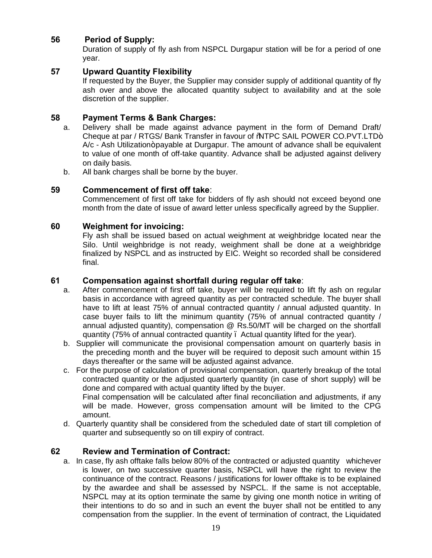### **56 Period of Supply:**

Duration of supply of fly ash from NSPCL Durgapur station will be for a period of one year.

#### **57 Upward Quantity Flexibility**

 If requested by the Buyer, the Supplier may consider supply of additional quantity of fly ash over and above the allocated quantity subject to availability and at the sole discretion of the supplier.

#### **58 Payment Terms & Bank Charges:**

- a. Delivery shall be made against advance payment in the form of Demand Draft/ Cheque at par / RTGS/ Bank Transfer in favour of %NTPC SAIL POWER CO.PVT.LTD+ A/c - Ash Utilization+payable at Durgapur. The amount of advance shall be equivalent to value of one month of off-take quantity. Advance shall be adjusted against delivery on daily basis.
- b. All bank charges shall be borne by the buyer.

#### **59 Commencement of first off take**:

Commencement of first off take for bidders of fly ash should not exceed beyond one month from the date of issue of award letter unless specifically agreed by the Supplier.

#### **60 Weighment for invoicing:**

Fly ash shall be issued based on actual weighment at weighbridge located near the Silo. Until weighbridge is not ready, weighment shall be done at a weighbridge finalized by NSPCL and as instructed by EIC. Weight so recorded shall be considered final.

#### **61 Compensation against shortfall during regular off take**:

- a. After commencement of first off take, buyer will be required to lift fly ash on regular basis in accordance with agreed quantity as per contracted schedule. The buyer shall have to lift at least 75% of annual contracted quantity / annual adjusted quantity. In case buyer fails to lift the minimum quantity (75% of annual contracted quantity / annual adjusted quantity), compensation @ Rs.50/MT will be charged on the shortfall quantity (75% of annual contracted quantity – Actual quantity lifted for the year).
- b. Supplier will communicate the provisional compensation amount on quarterly basis in the preceding month and the buyer will be required to deposit such amount within 15 days thereafter or the same will be adjusted against advance.
- c. For the purpose of calculation of provisional compensation, quarterly breakup of the total contracted quantity or the adjusted quarterly quantity (in case of short supply) will be done and compared with actual quantity lifted by the buyer.

Final compensation will be calculated after final reconciliation and adjustments, if any will be made. However, gross compensation amount will be limited to the CPG amount.

d. Quarterly quantity shall be considered from the scheduled date of start till completion of quarter and subsequently so on till expiry of contract.

#### **62 Review and Termination of Contract:**

a. In case, fly ash offtake falls below 80% of the contracted or adjusted quantity whichever is lower, on two successive quarter basis, NSPCL will have the right to review the continuance of the contract. Reasons / justifications for lower offtake is to be explained by the awardee and shall be assessed by NSPCL. If the same is not acceptable, NSPCL may at its option terminate the same by giving one month notice in writing of their intentions to do so and in such an event the buyer shall not be entitled to any compensation from the supplier. In the event of termination of contract, the Liquidated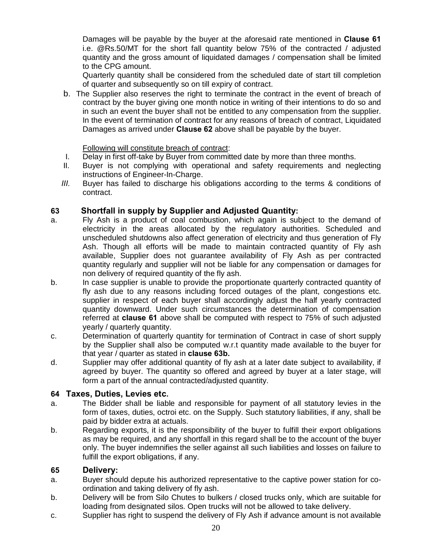Damages will be payable by the buyer at the aforesaid rate mentioned in **Clause 61**  i.e. @Rs.50/MT for the short fall quantity below 75% of the contracted / adjusted quantity and the gross amount of liquidated damages / compensation shall be limited to the CPG amount.

Quarterly quantity shall be considered from the scheduled date of start till completion of quarter and subsequently so on till expiry of contract.

b. The Supplier also reserves the right to terminate the contract in the event of breach of contract by the buyer giving one month notice in writing of their intentions to do so and in such an event the buyer shall not be entitled to any compensation from the supplier. In the event of termination of contract for any reasons of breach of contract, Liquidated Damages as arrived under **Clause 62** above shall be payable by the buyer.

Following will constitute breach of contract:

- I. Delay in first off-take by Buyer from committed date by more than three months.
- II. Buyer is not complying with operational and safety requirements and neglecting instructions of Engineer-In-Charge.
- *III.* Buyer has failed to discharge his obligations according to the terms & conditions of contract.

#### **63 Shortfall in supply by Supplier and Adjusted Quantity:**

- a. Fly Ash is a product of coal combustion, which again is subject to the demand of electricity in the areas allocated by the regulatory authorities. Scheduled and unscheduled shutdowns also affect generation of electricity and thus generation of Fly Ash. Though all efforts will be made to maintain contracted quantity of Fly ash available, Supplier does not guarantee availability of Fly Ash as per contracted quantity regularly and supplier will not be liable for any compensation or damages for non delivery of required quantity of the fly ash.
- b. In case supplier is unable to provide the proportionate quarterly contracted quantity of fly ash due to any reasons including forced outages of the plant, congestions etc. supplier in respect of each buyer shall accordingly adjust the half yearly contracted quantity downward. Under such circumstances the determination of compensation referred at **clause 61** above shall be computed with respect to 75% of such adjusted yearly / quarterly quantity.
- c. Determination of quarterly quantity for termination of Contract in case of short supply by the Supplier shall also be computed w.r.t quantity made available to the buyer for that year / quarter as stated in **clause 63b.**
- d. Supplier may offer additional quantity of fly ash at a later date subject to availability, if agreed by buyer. The quantity so offered and agreed by buyer at a later stage, will form a part of the annual contracted/adjusted quantity.

#### **64 Taxes, Duties, Levies etc.**

- a. The Bidder shall be liable and responsible for payment of all statutory levies in the form of taxes, duties, octroi etc. on the Supply. Such statutory liabilities, if any, shall be paid by bidder extra at actuals.
- b. Regarding exports, it is the responsibility of the buyer to fulfill their export obligations as may be required, and any shortfall in this regard shall be to the account of the buyer only. The buyer indemnifies the seller against all such liabilities and losses on failure to fulfill the export obligations, if any.

#### **65 Delivery:**

- a. Buyer should depute his authorized representative to the captive power station for coordination and taking delivery of fly ash.
- b. Delivery will be from Silo Chutes to bulkers / closed trucks only, which are suitable for loading from designated silos. Open trucks will not be allowed to take delivery.
- c. Supplier has right to suspend the delivery of Fly Ash if advance amount is not available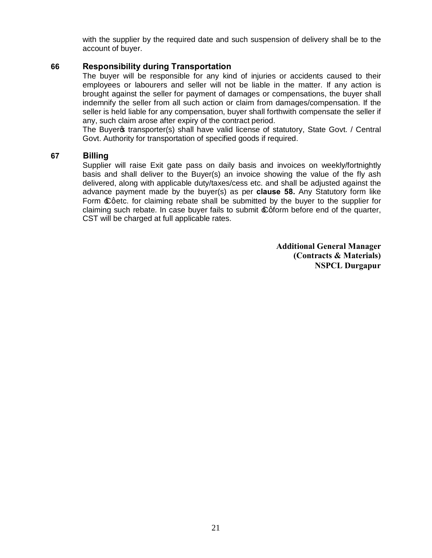with the supplier by the required date and such suspension of delivery shall be to the account of buyer.

#### **66 Responsibility during Transportation**

The buyer will be responsible for any kind of injuries or accidents caused to their employees or labourers and seller will not be liable in the matter. If any action is brought against the seller for payment of damages or compensations, the buyer shall indemnify the seller from all such action or claim from damages/compensation. If the seller is held liable for any compensation, buyer shall forthwith compensate the seller if any, such claim arose after expiry of the contract period.

The Buyer of transporter(s) shall have valid license of statutory, State Govt. / Central Govt. Authority for transportation of specified goods if required.

#### **67 Billing**

Supplier will raise Exit gate pass on daily basis and invoices on weekly/fortnightly basis and shall deliver to the Buyer(s) an invoice showing the value of the fly ash delivered, along with applicable duty/taxes/cess etc. and shall be adjusted against the advance payment made by the buyer(s) as per **clause 58.** Any Statutory form like Form  $\pounds$  aetc. for claiming rebate shall be submitted by the buyer to the supplier for claiming such rebate. In case buyer fails to submit  $\pounds$  gform before end of the quarter, CST will be charged at full applicable rates.

> **Additional General Manager (Contracts & Materials) NSPCL Durgapur**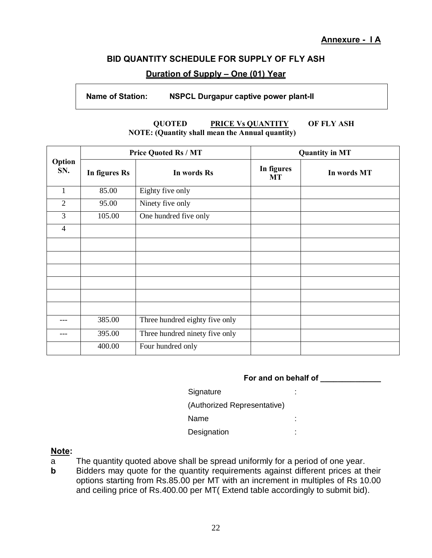#### **BID QUANTITY SCHEDULE FOR SUPPLY OF FLY ASH**

#### **Duration of Supply – One (01) Year**

#### **Name of Station: NSPCL Durgapur captive power plant-II**

#### **QUOTED PRICE Vs QUANTITY OF FLY ASH NOTE: (Quantity shall mean the Annual quantity)**

|                | <b>Price Quoted Rs / MT</b> |                                | <b>Quantity in MT</b>   |             |
|----------------|-----------------------------|--------------------------------|-------------------------|-------------|
| Option<br>SN.  | In figures Rs               | In words Rs                    | In figures<br><b>MT</b> | In words MT |
| 1              | 85.00                       | Eighty five only               |                         |             |
| $\overline{2}$ | 95.00                       | Ninety five only               |                         |             |
| $\overline{3}$ | 105.00                      | One hundred five only          |                         |             |
| $\overline{4}$ |                             |                                |                         |             |
|                |                             |                                |                         |             |
|                |                             |                                |                         |             |
|                |                             |                                |                         |             |
|                |                             |                                |                         |             |
|                |                             |                                |                         |             |
|                |                             |                                |                         |             |
| ---            | 385.00                      | Three hundred eighty five only |                         |             |
|                | 395.00                      | Three hundred ninety five only |                         |             |
|                | 400.00                      | Four hundred only              |                         |             |

#### **For and on behalf of \_\_\_\_\_\_\_\_\_\_\_\_\_\_**

| Signature                   | ٠      |
|-----------------------------|--------|
| (Authorized Representative) |        |
| Name                        | ٠<br>۰ |
| Designation                 | ٠      |

#### **Note:**

- a The quantity quoted above shall be spread uniformly for a period of one year.
- **b** Bidders may quote for the quantity requirements against different prices at their options starting from Rs.85.00 per MT with an increment in multiples of Rs 10.00 and ceiling price of Rs.400.00 per MT( Extend table accordingly to submit bid).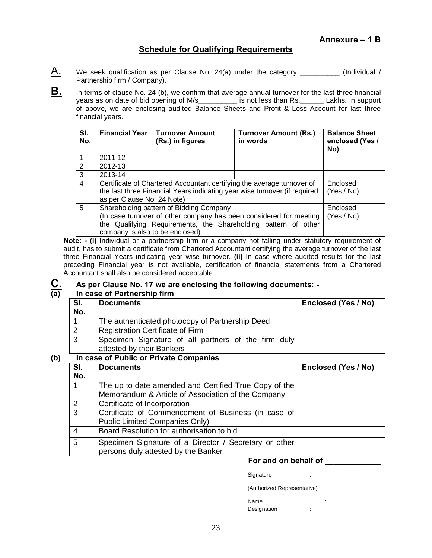#### **Schedule for Qualifying Requirements**

- $\mathsf{A}$ . We seek qualification as per Clause No. 24(a) under the category \_\_\_\_\_\_\_\_\_\_\_ (Individual / Partnership firm / Company).
- **B.** In terms of clause No. 24 (b), we confirm that average annual turnover for the last three financial years as on date of bid opening of M/s\_\_\_\_\_\_\_\_\_\_\_ is not less than Rs.\_\_\_\_\_\_\_ Lakhs. In support of above, we are enclosing audited Balance Sheets and Profit & Loss Account for last three financial years.

| SI.<br>No.              | <b>Financial Year</b>                                                                                                                                                             | <b>Turnover Amount</b><br>(Rs.) in figures                                                                                                                                                                         | <b>Turnover Amount (Rs.)</b><br>in words | <b>Balance Sheet</b><br>enclosed (Yes /<br>No) |
|-------------------------|-----------------------------------------------------------------------------------------------------------------------------------------------------------------------------------|--------------------------------------------------------------------------------------------------------------------------------------------------------------------------------------------------------------------|------------------------------------------|------------------------------------------------|
| $\overline{\mathbf{1}}$ | 2011-12                                                                                                                                                                           |                                                                                                                                                                                                                    |                                          |                                                |
| 2                       | 2012-13                                                                                                                                                                           |                                                                                                                                                                                                                    |                                          |                                                |
| $\overline{3}$          | 2013-14                                                                                                                                                                           |                                                                                                                                                                                                                    |                                          |                                                |
| $\overline{4}$          | Certificate of Chartered Accountant certifying the average turnover of<br>the last three Financial Years indicating year wise turnover (if required<br>as per Clause No. 24 Note) |                                                                                                                                                                                                                    |                                          | Enclosed<br>(Yes / No)                         |
| 5                       |                                                                                                                                                                                   | Shareholding pattern of Bidding Company<br>(In case turnover of other company has been considered for meeting<br>the Qualifying Requirements, the Shareholding pattern of other<br>company is also to be enclosed) |                                          | Enclosed<br>(Yes / No)                         |

**Note: - (i)** Individual or a partnership firm or a company not falling under statutory requirement of audit, has to submit a certificate from Chartered Accountant certifying the average turnover of the last three Financial Years indicating year wise turnover. **(ii)** In case where audited results for the last preceding Financial year is not available, certification of financial statements from a Chartered Accountant shall also be considered acceptable.

# **C.** As per Clause No. 17 we are enclosing the following documents: -<br>(a) In case of Partnership firm

#### **(a) In case of Partnership firm**

| SI.            | <b>Documents</b>                                    | Enclosed (Yes / No) |
|----------------|-----------------------------------------------------|---------------------|
| No.            |                                                     |                     |
|                | The authenticated photocopy of Partnership Deed     |                     |
| $\overline{2}$ | <b>Registration Certificate of Firm</b>             |                     |
| 3              | Specimen Signature of all partners of the firm duly |                     |
|                | attested by their Bankers                           |                     |

#### **(b) In case of Public or Private Companies**

| SI.<br>No. | <b>Documents</b>                                                                                            | Enclosed (Yes / No) |
|------------|-------------------------------------------------------------------------------------------------------------|---------------------|
| 1          | The up to date amended and Certified True Copy of the<br>Memorandum & Article of Association of the Company |                     |
| 2          | Certificate of Incorporation                                                                                |                     |
| 3          | Certificate of Commencement of Business (in case of<br><b>Public Limited Companies Only)</b>                |                     |
| 4          | Board Resolution for authorisation to bid                                                                   |                     |
| 5          | Specimen Signature of a Director / Secretary or other<br>persons duly attested by the Banker                |                     |

#### **For and on behalf of \_\_\_\_\_\_\_\_\_\_\_\_\_**

Signature : the state of the state of the state of the state of the state of the state of the state of the state of the state of the state of the state of the state of the state of the state of the state of the state of th

(Authorized Representative)

Name : the state of the state of the state  $\sim$ Designation :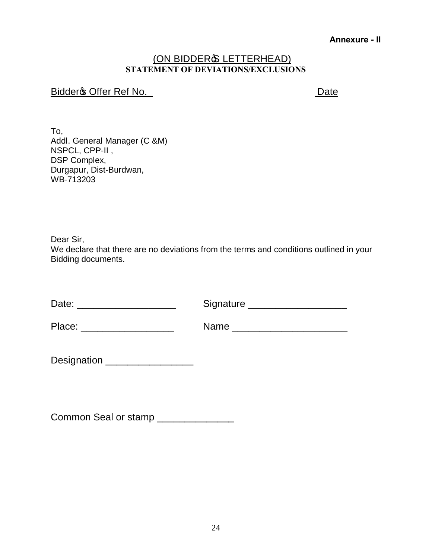#### **Annexure - II**

#### (ON BIDDERG LETTERHEAD) **STATEMENT OF DEVIATIONS/EXCLUSIONS**

### Bidder **S** Offer Ref No. Date

To, Addl. General Manager (C &M) NSPCL, CPP-II , DSP Complex, Durgapur, Dist-Burdwan, WB-713203

Dear Sir,

We declare that there are no deviations from the terms and conditions outlined in your Bidding documents.

Place: \_\_\_\_\_\_\_\_\_\_\_\_\_\_\_\_\_ Name \_\_\_\_\_\_\_\_\_\_\_\_\_\_\_\_\_\_\_\_\_

| Designation |  |
|-------------|--|
|             |  |

Common Seal or stamp \_\_\_\_\_\_\_\_\_\_\_\_\_\_\_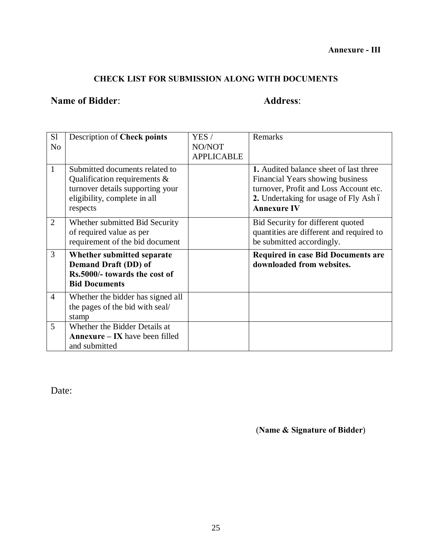### **CHECK LIST FOR SUBMISSION ALONG WITH DOCUMENTS**

### **Name of Bidder: Address: Address:**

| S <sub>1</sub> | Description of Check points                                                                                                                    | YES /             | Remarks                                                                                                                                                                             |
|----------------|------------------------------------------------------------------------------------------------------------------------------------------------|-------------------|-------------------------------------------------------------------------------------------------------------------------------------------------------------------------------------|
| N <sub>o</sub> |                                                                                                                                                | NO/NOT            |                                                                                                                                                                                     |
|                |                                                                                                                                                | <b>APPLICABLE</b> |                                                                                                                                                                                     |
| 1              | Submitted documents related to<br>Qualification requirements &<br>turnover details supporting your<br>eligibility, complete in all<br>respects |                   | 1. Audited balance sheet of last three<br>Financial Years showing business<br>turnover, Profit and Loss Account etc.<br>2. Undertaking for usage of Fly Ash ó<br><b>Annexure IV</b> |
| 2              | Whether submitted Bid Security<br>of required value as per<br>requirement of the bid document                                                  |                   | Bid Security for different quoted<br>quantities are different and required to<br>be submitted accordingly.                                                                          |
| 3              | Whether submitted separate<br>Demand Draft (DD) of<br>Rs.5000/- towards the cost of<br><b>Bid Documents</b>                                    |                   | <b>Required in case Bid Documents are</b><br>downloaded from websites.                                                                                                              |
| $\overline{4}$ | Whether the bidder has signed all<br>the pages of the bid with seal/<br>stamp                                                                  |                   |                                                                                                                                                                                     |
| 5              | Whether the Bidder Details at<br><b>Annexure – IX</b> have been filled<br>and submitted                                                        |                   |                                                                                                                                                                                     |

Date:

(**Name & Signature of Bidder**)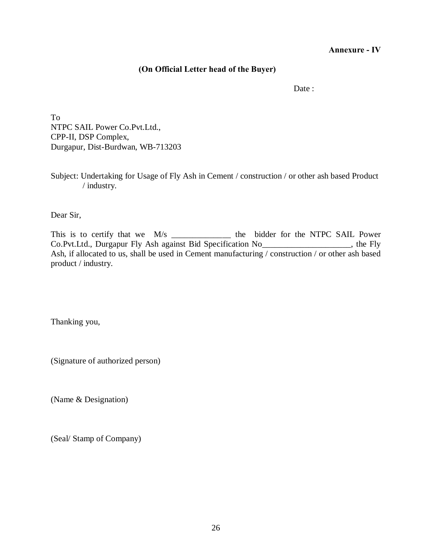**Annexure - IV**

#### **(On Official Letter head of the Buyer)**

Date :

To NTPC SAIL Power Co.Pvt.Ltd., CPP-II, DSP Complex, Durgapur, Dist-Burdwan, WB-713203

Subject: Undertaking for Usage of Fly Ash in Cement / construction / or other ash based Product / industry.

Dear Sir,

This is to certify that we M/s \_\_\_\_\_\_\_\_\_\_\_\_\_\_\_\_ the bidder for the NTPC SAIL Power Co.Pvt.Ltd., Durgapur Fly Ash against Bid Specification No\_\_\_\_\_\_\_\_\_\_\_\_\_\_\_\_\_\_\_\_\_, the Fly Ash, if allocated to us, shall be used in Cement manufacturing / construction / or other ash based product / industry.

Thanking you,

(Signature of authorized person)

(Name & Designation)

(Seal/ Stamp of Company)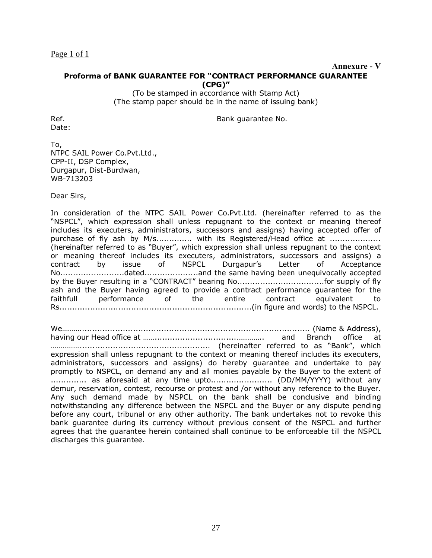Page  $1$  of  $1$ 

#### **Annexure - V**

#### **Proforma of BANK GUARANTEE FOR "CONTRACT PERFORMANCE GUARANTEE (CPG)"**

(To be stamped in accordance with Stamp Act) (The stamp paper should be in the name of issuing bank)

Date:

Ref. **Bank guarantee No. Bank guarantee No.** 

To, NTPC SAIL Power Co.Pvt.Ltd., CPP-II, DSP Complex, Durgapur, Dist-Burdwan, WB-713203

Dear Sirs,

In consideration of the NTPC SAIL Power Co.Pvt.Ltd. (hereinafter referred to as the "NSPCL", which expression shall unless repugnant to the context or meaning thereof includes its executers, administrators, successors and assigns) having accepted offer of purchase of fly ash by M/s............... with its Registered/Head office at .................... (hereinafter referred to as "Buyer", which expression shall unless repugnant to the context or meaning thereof includes its executers, administrators, successors and assigns) a contract by issue of NSPCL Durgapur's Letter of Acceptance No.........................dated.....................and the same having been unequivocally accepted by the Buyer resulting in a "CONTRACT" bearing No..................................for supply of fly ash and the Buyer having agreed to provide a contract performance guarantee for the faithfull performance of the entire contract equivalent to Rs...........................................................................(in figure and words) to the NSPCL.

We……….......................................................................................... (Name & Address), having our Head office at ……................................………….. and Branch office at ……………................................................... (hereinafter referred to as "Bank", which expression shall unless repugnant to the context or meaning thereof includes its executers, administrators, successors and assigns) do hereby guarantee and undertake to pay promptly to NSPCL, on demand any and all monies payable by the Buyer to the extent of .............. as aforesaid at any time upto......................... (DD/MM/YYYY) without any demur, reservation, contest, recourse or protest and /or without any reference to the Buyer. Any such demand made by NSPCL on the bank shall be conclusive and binding notwithstanding any difference between the NSPCL and the Buyer or any dispute pending before any court, tribunal or any other authority. The bank undertakes not to revoke this bank guarantee during its currency without previous consent of the NSPCL and further agrees that the guarantee herein contained shall continue to be enforceable till the NSPCL discharges this guarantee.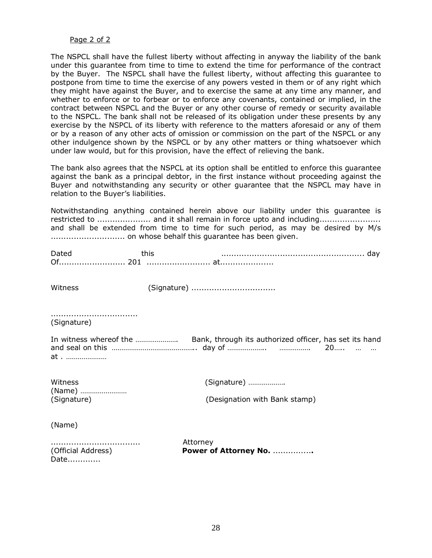#### Page 2 of 2

The NSPCL shall have the fullest liberty without affecting in anyway the liability of the bank under this guarantee from time to time to extend the time for performance of the contract by the Buyer. The NSPCL shall have the fullest liberty, without affecting this guarantee to postpone from time to time the exercise of any powers vested in them or of any right which they might have against the Buyer, and to exercise the same at any time any manner, and whether to enforce or to forbear or to enforce any covenants, contained or implied, in the contract between NSPCL and the Buyer or any other course of remedy or security available to the NSPCL. The bank shall not be released of its obligation under these presents by any exercise by the NSPCL of its liberty with reference to the matters aforesaid or any of them or by a reason of any other acts of omission or commission on the part of the NSPCL or any other indulgence shown by the NSPCL or by any other matters or thing whatsoever which under law would, but for this provision, have the effect of relieving the bank.

The bank also agrees that the NSPCL at its option shall be entitled to enforce this guarantee against the bank as a principal debtor, in the first instance without proceeding against the Buyer and notwithstanding any security or other guarantee that the NSPCL may have in relation to the Buyer's liabilities.

Notwithstanding anything contained herein above our liability under this guarantee is restricted to ..................... and it shall remain in force upto and including........................ and shall be extended from time to time for such period, as may be desired by M/s ............................. on whose behalf this guarantee has been given.

| Witness                        | (Signature)                       |
|--------------------------------|-----------------------------------|
| (Signature)                    |                                   |
| at                             |                                   |
| Witness                        | (Signature)                       |
| (Name)<br>(Signature)          | (Designation with Bank stamp)     |
| (Name)                         |                                   |
| <br>(Official Address)<br>Date | Attorney<br>Power of Attorney No. |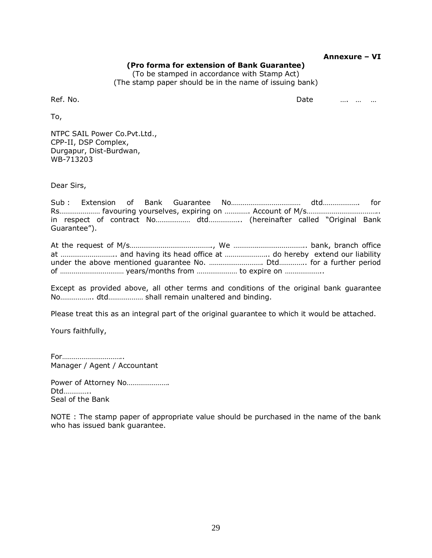|          | (Pro forma for extension of Bank Guarantee)<br>(To be stamped in accordance with Stamp Act) | Annexure – VI |
|----------|---------------------------------------------------------------------------------------------|---------------|
| Ref. No. | (The stamp paper should be in the name of issuing bank)<br>Date                             |               |
| To,      |                                                                                             |               |

NTPC SAIL Power Co.Pvt.Ltd., CPP-II, DSP Complex, Durgapur, Dist-Burdwan, WB-713203

Dear Sirs,

To,

Sub : Extension of Bank Guarantee No……………………………… dtd………………. for Rs………………… favouring yourselves, expiring on …………. Account of M/s……………………………….. in respect of contract No……………… dtd…………….. (hereinafter called "Original Bank Guarantee").

At the request of M/s……………………………………., We ……………………………….. bank, branch office at ……………………….. and having its head office at ………………….. do hereby extend our liability under the above mentioned guarantee No. ………………………. Dtd………….. for a further period of …………………………… years/months from ………………… to expire on ………………..

Except as provided above, all other terms and conditions of the original bank guarantee No…………….. dtd……………… shall remain unaltered and binding.

Please treat this as an integral part of the original guarantee to which it would be attached.

Yours faithfully,

For………………………….. Manager / Agent / Accountant

Power of Attorney No...................... Dtd………….. Seal of the Bank

NOTE : The stamp paper of appropriate value should be purchased in the name of the bank who has issued bank guarantee.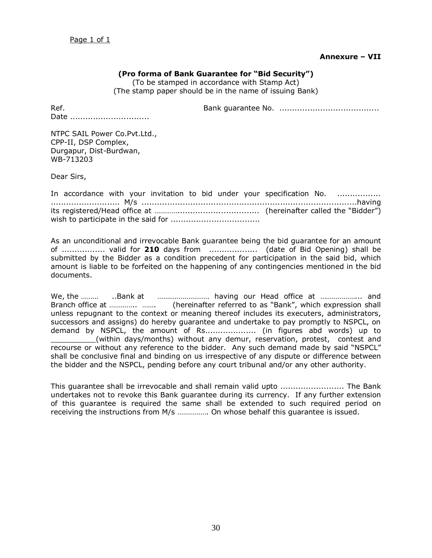#### **Annexure – VII**

#### **(Pro forma of Bank Guarantee for "Bid Security")**

(To be stamped in accordance with Stamp Act) (The stamp paper should be in the name of issuing Bank)

Ref. Bank guarantee No. .......................................

Date .................................

NTPC SAIL Power Co.Pvt.Ltd., CPP-II, DSP Complex, Durgapur, Dist-Burdwan, WB-713203

Dear Sirs,

|  |  |  |  | In accordance with your invitation to bid under your specification No. |  |  |
|--|--|--|--|------------------------------------------------------------------------|--|--|
|  |  |  |  |                                                                        |  |  |
|  |  |  |  |                                                                        |  |  |
|  |  |  |  |                                                                        |  |  |

As an unconditional and irrevocable Bank guarantee being the bid guarantee for an amount of ................. valid for **210** days from ................... (date of Bid Opening) shall be submitted by the Bidder as a condition precedent for participation in the said bid, which amount is liable to be forfeited on the happening of any contingencies mentioned in the bid documents.

We, the ……… .Bank at …………………………… having our Head office at …………………… and Branch office at ………….. ……. (hereinafter referred to as "Bank", which expression shall unless repugnant to the context or meaning thereof includes its executers, administrators, successors and assigns) do hereby guarantee and undertake to pay promptly to NSPCL, on demand by NSPCL, the amount of Rs.................... (in figures abd words) up to \_\_\_\_\_\_\_\_\_\_(within days/months) without any demur, reservation, protest, contest and recourse or without any reference to the bidder. Any such demand made by said "NSPCL" shall be conclusive final and binding on us irrespective of any dispute or difference between the bidder and the NSPCL, pending before any court tribunal and/or any other authority.

This guarantee shall be irrevocable and shall remain valid upto ......................... The Bank undertakes not to revoke this Bank guarantee during its currency. If any further extension of this guarantee is required the same shall be extended to such required period on receiving the instructions from M/s ……………. On whose behalf this guarantee is issued.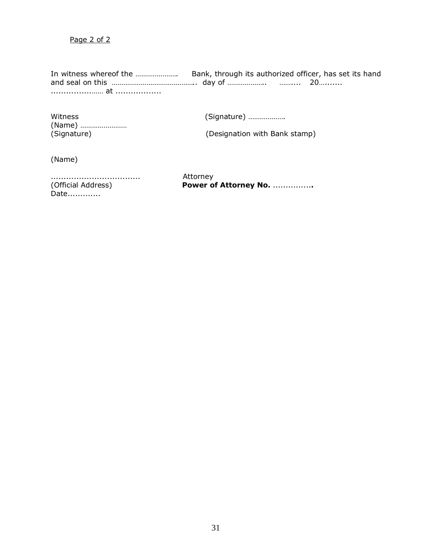Page 2 of 2

In witness whereof the …………………. Bank, through its authorized officer, has set its hand and seal on this …………………………………….. day of ……………….. …….... 20…....... ................…… at ..................

(Name) ……………………

Witness (Signature) ……………….

(Signature) (Designation with Bank stamp)

(Name)

................................... Attorney Date.............

(Official Address) **Power of Attorney No.** ...............**.**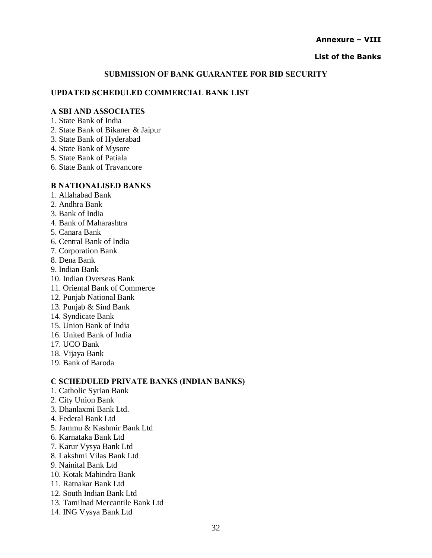#### **Annexure – VIII**

#### **List of the Banks**

#### **SUBMISSION OF BANK GUARANTEE FOR BID SECURITY**

#### **UPDATED SCHEDULED COMMERCIAL BANK LIST**

#### **A SBI AND ASSOCIATES**

- 1. State Bank of India
- 2. State Bank of Bikaner & Jaipur
- 3. State Bank of Hyderabad
- 4. State Bank of Mysore
- 5. State Bank of Patiala
- 6. State Bank of Travancore

#### **B NATIONALISED BANKS**

- 1. Allahabad Bank
- 2. Andhra Bank
- 3. Bank of India
- 4. Bank of Maharashtra
- 5. Canara Bank
- 6. Central Bank of India
- 7. Corporation Bank
- 8. Dena Bank
- 9. Indian Bank
- 10. Indian Overseas Bank
- 11. Oriental Bank of Commerce
- 12. Punjab National Bank
- 13. Punjab & Sind Bank
- 14. Syndicate Bank
- 15. Union Bank of India
- 16. United Bank of India
- 17. UCO Bank
- 18. Vijaya Bank
- 19. Bank of Baroda

#### **C SCHEDULED PRIVATE BANKS (INDIAN BANKS)**

- 1. Catholic Syrian Bank
- 2. City Union Bank
- 3. Dhanlaxmi Bank Ltd.
- 4. Federal Bank Ltd
- 5. Jammu & Kashmir Bank Ltd
- 6. Karnataka Bank Ltd
- 7. Karur Vysya Bank Ltd
- 8. Lakshmi Vilas Bank Ltd
- 9. Nainital Bank Ltd
- 10. Kotak Mahindra Bank
- 11. Ratnakar Bank Ltd
- 12. South Indian Bank Ltd
- 13. Tamilnad Mercantile Bank Ltd
- 14. ING Vysya Bank Ltd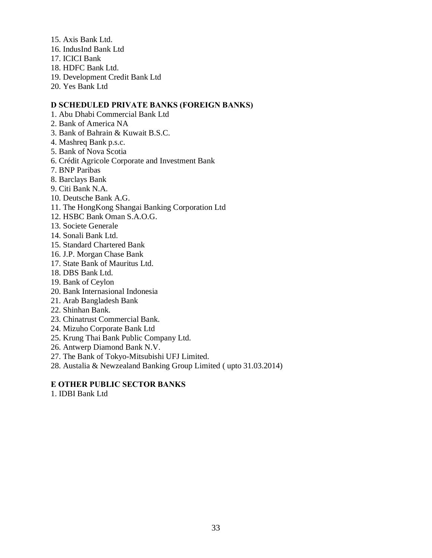- 15. Axis Bank Ltd.
- 16. IndusInd Bank Ltd
- 17. ICICI Bank
- 18. HDFC Bank Ltd.
- 19. Development Credit Bank Ltd
- 20. Yes Bank Ltd

#### **D SCHEDULED PRIVATE BANKS (FOREIGN BANKS)**

- 1. Abu Dhabi Commercial Bank Ltd
- 2. Bank of America NA
- 3. Bank of Bahrain & Kuwait B.S.C.
- 4. Mashreq Bank p.s.c.
- 5. Bank of Nova Scotia
- 6. Crédit Agricole Corporate and Investment Bank
- 7. BNP Paribas
- 8. Barclays Bank
- 9. Citi Bank N.A.
- 10. Deutsche Bank A.G.
- 11. The HongKong Shangai Banking Corporation Ltd
- 12. HSBC Bank Oman S.A.O.G.
- 13. Societe Generale
- 14. Sonali Bank Ltd.
- 15. Standard Chartered Bank
- 16. J.P. Morgan Chase Bank
- 17. State Bank of Mauritus Ltd.
- 18. DBS Bank Ltd.
- 19. Bank of Ceylon
- 20. Bank Internasional Indonesia
- 21. Arab Bangladesh Bank
- 22. Shinhan Bank.
- 23. Chinatrust Commercial Bank.
- 24. Mizuho Corporate Bank Ltd
- 25. Krung Thai Bank Public Company Ltd.
- 26. Antwerp Diamond Bank N.V.
- 27. The Bank of Tokyo-Mitsubishi UFJ Limited.
- 28. Austalia & Newzealand Banking Group Limited ( upto 31.03.2014)

#### **E OTHER PUBLIC SECTOR BANKS**

1. IDBI Bank Ltd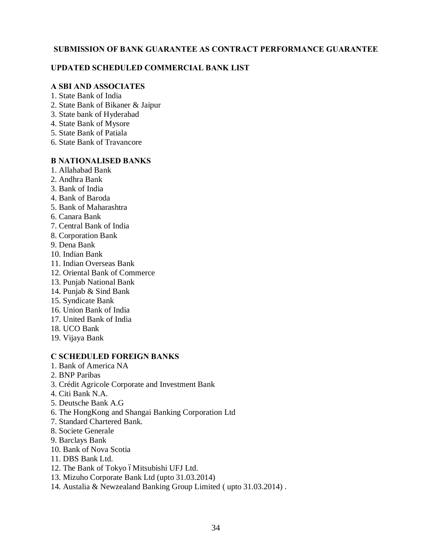#### **SUBMISSION OF BANK GUARANTEE AS CONTRACT PERFORMANCE GUARANTEE**

#### **UPDATED SCHEDULED COMMERCIAL BANK LIST**

#### **A SBI AND ASSOCIATES**

- 1. State Bank of India
- 2. State Bank of Bikaner & Jaipur
- 3. State bank of Hyderabad
- 4. State Bank of Mysore
- 5. State Bank of Patiala
- 6. State Bank of Travancore

#### **B NATIONALISED BANKS**

- 1. Allahabad Bank
- 2. Andhra Bank
- 3. Bank of India
- 4. Bank of Baroda
- 5. Bank of Maharashtra
- 6. Canara Bank
- 7. Central Bank of India
- 8. Corporation Bank
- 9. Dena Bank
- 10. Indian Bank
- 11. Indian Overseas Bank
- 12. Oriental Bank of Commerce
- 13. Punjab National Bank
- 14. Punjab & Sind Bank
- 15. Syndicate Bank
- 16. Union Bank of India
- 17. United Bank of India
- 18. UCO Bank
- 19. Vijaya Bank

#### **C SCHEDULED FOREIGN BANKS**

- 1. Bank of America NA
- 2. BNP Paribas
- 3. Crédit Agricole Corporate and Investment Bank
- 4. Citi Bank N.A.
- 5. Deutsche Bank A.G
- 6. The HongKong and Shangai Banking Corporation Ltd
- 7. Standard Chartered Bank.
- 8. Societe Generale
- 9. Barclays Bank
- 10. Bank of Nova Scotia
- 11. DBS Bank Ltd.
- 12. The Bank of Tokyo óMitsubishi UFJ Ltd.
- 13. Mizuho Corporate Bank Ltd (upto 31.03.2014)
- 14. Austalia & Newzealand Banking Group Limited ( upto 31.03.2014) .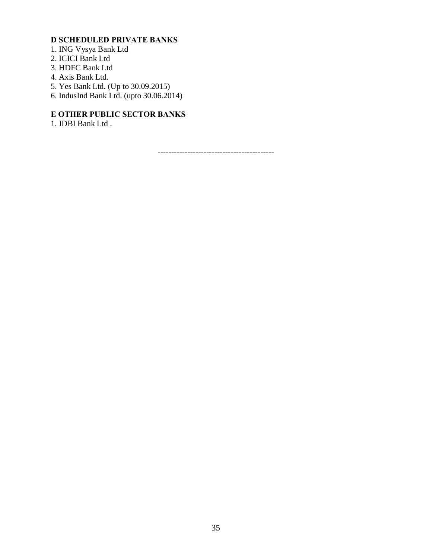### **D SCHEDULED PRIVATE BANKS**

- 1. ING Vysya Bank Ltd
- 2. ICICI Bank Ltd
- 3. HDFC Bank Ltd
- 4. Axis Bank Ltd.
- 5. Yes Bank Ltd. (Up to 30.09.2015)
- 6. IndusInd Bank Ltd. (upto  $30.06.2014$ )

### **E OTHER PUBLIC SECTOR BANKS**

1. IDBI Bank Ltd .

-------------------------------------------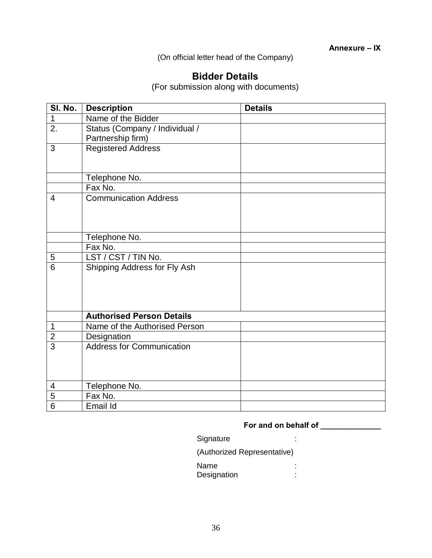(On official letter head of the Company)

### **Bidder Details**

(For submission along with documents)

| SI. No.          | <b>Description</b>               | <b>Details</b> |
|------------------|----------------------------------|----------------|
| $\mathbf 1$      | Name of the Bidder               |                |
| $\overline{2}$ . | Status (Company / Individual /   |                |
|                  | Partnership firm)                |                |
| 3                | <b>Registered Address</b>        |                |
|                  |                                  |                |
|                  |                                  |                |
|                  | Telephone No.                    |                |
|                  | Fax No.                          |                |
| $\overline{4}$   | <b>Communication Address</b>     |                |
|                  |                                  |                |
|                  |                                  |                |
|                  |                                  |                |
|                  | Telephone No.                    |                |
|                  | Fax No.                          |                |
| 5                | LST / CST / TIN No.              |                |
| $\overline{6}$   | Shipping Address for Fly Ash     |                |
|                  |                                  |                |
|                  |                                  |                |
|                  |                                  |                |
|                  |                                  |                |
|                  | <b>Authorised Person Details</b> |                |
| 1                | Name of the Authorised Person    |                |
| $\overline{2}$   | Designation                      |                |
| $\overline{3}$   | <b>Address for Communication</b> |                |
|                  |                                  |                |
|                  |                                  |                |
|                  |                                  |                |
| $\overline{4}$   | Telephone No.                    |                |
| $\overline{5}$   | Fax No.                          |                |
| $\overline{6}$   | Email Id                         |                |

### **For and on behalf of \_\_\_\_\_\_\_\_\_\_\_\_\_\_**

#### Signature : the state of the state of the state of the state of the state of the state of the state of the state of the state of the state of the state of the state of the state of the state of the state of the state of th

(Authorized Representative)

Name :<br>Designation : Designation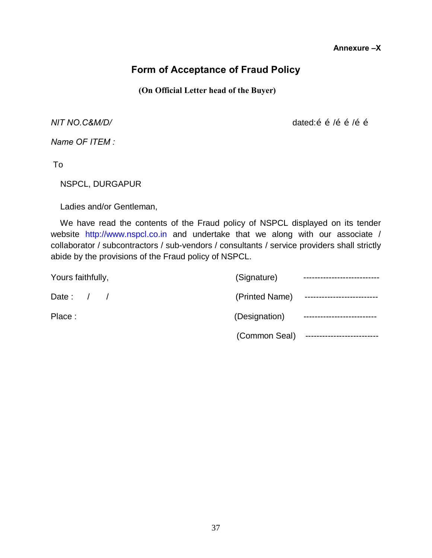#### **Annexure –X**

### **Form of Acceptance of Fraud Policy**

**(On Official Letter head of the Buyer)**

*NIT NO.C&M/D/ NIT NO.C&M/D/ dated:* $\tilde{0}$  $\tilde{0}$  $\tilde{0}$ *i* $\tilde{0}$ *i* $\tilde{0}$ *i* $\tilde{0}$ *i* $\tilde{0}$ *i* $\tilde{0}$ *i* $\tilde{0}$ *i* $\tilde{0}$ *i* $\tilde{0}$ *i* $\tilde{0}$ *i* $\tilde{0}$ *i* $\tilde{0}$ *i* **\til** 

*Name OF ITEM :*

To

NSPCL, DURGAPUR

Ladies and/or Gentleman,

 We have read the contents of the Fraud policy of NSPCL displayed on its tender website http://www.nspcl.co.in and undertake that we along with our associate / collaborator / subcontractors / sub-vendors / consultants / service providers shall strictly abide by the provisions of the Fraud policy of NSPCL.

| Yours faithfully, | (Signature)    |                            |
|-------------------|----------------|----------------------------|
| Date: $/$ /       | (Printed Name) | -------------------------- |
| Place:            | (Designation)  |                            |
|                   | (Common Seal)  |                            |